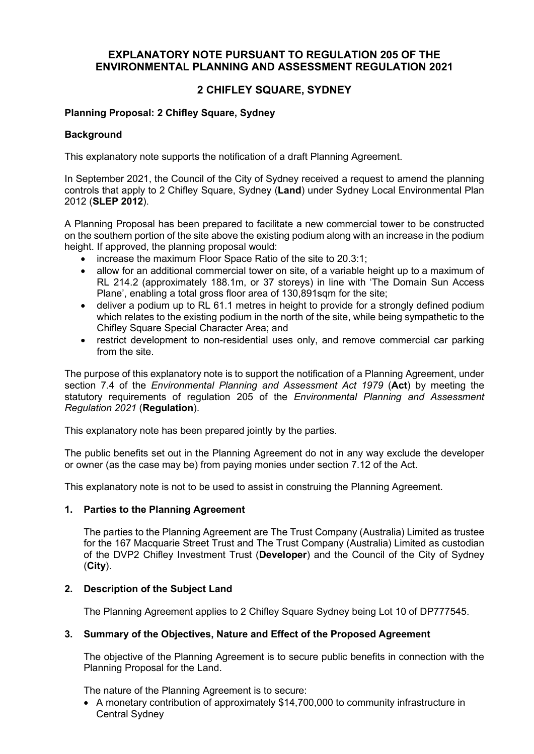# **EXPLANATORY NOTE PURSUANT TO REGULATION 205 OF THE ENVIRONMENTAL PLANNING AND ASSESSMENT REGULATION 2021**

# **2 CHIFLEY SQUARE, SYDNEY**

# **Planning Proposal: 2 Chifley Square, Sydney**

# **Background**

This explanatory note supports the notification of a draft Planning Agreement.

In September 2021, the Council of the City of Sydney received a request to amend the planning controls that apply to 2 Chifley Square, Sydney (**Land**) under Sydney Local Environmental Plan 2012 (**SLEP 2012**).

A Planning Proposal has been prepared to facilitate a new commercial tower to be constructed on the southern portion of the site above the existing podium along with an increase in the podium height. If approved, the planning proposal would:

- increase the maximum Floor Space Ratio of the site to 20.3:1;
- allow for an additional commercial tower on site, of a variable height up to a maximum of RL 214.2 (approximately 188.1m, or 37 storeys) in line with 'The Domain Sun Access Plane', enabling a total gross floor area of 130,891sqm for the site;
- deliver a podium up to RL 61.1 metres in height to provide for a strongly defined podium which relates to the existing podium in the north of the site, while being sympathetic to the Chifley Square Special Character Area; and
- restrict development to non-residential uses only, and remove commercial car parking from the site.

The purpose of this explanatory note is to support the notification of a Planning Agreement, under section 7.4 of the *Environmental Planning and Assessment Act 1979* (**Act**) by meeting the statutory requirements of regulation 205 of the *Environmental Planning and Assessment Regulation 2021* (**Regulation**).

This explanatory note has been prepared jointly by the parties.

The public benefits set out in the Planning Agreement do not in any way exclude the developer or owner (as the case may be) from paying monies under section 7.12 of the Act.

This explanatory note is not to be used to assist in construing the Planning Agreement.

# **1. Parties to the Planning Agreement**

The parties to the Planning Agreement are The Trust Company (Australia) Limited as trustee for the 167 Macquarie Street Trust and The Trust Company (Australia) Limited as custodian of the DVP2 Chifley Investment Trust (**Developer**) and the Council of the City of Sydney (**City**).

# **2. Description of the Subject Land**

The Planning Agreement applies to 2 Chifley Square Sydney being Lot 10 of DP777545.

# **3. Summary of the Objectives, Nature and Effect of the Proposed Agreement**

The objective of the Planning Agreement is to secure public benefits in connection with the Planning Proposal for the Land.

The nature of the Planning Agreement is to secure:

• A monetary contribution of approximately \$14,700,000 to community infrastructure in Central Sydney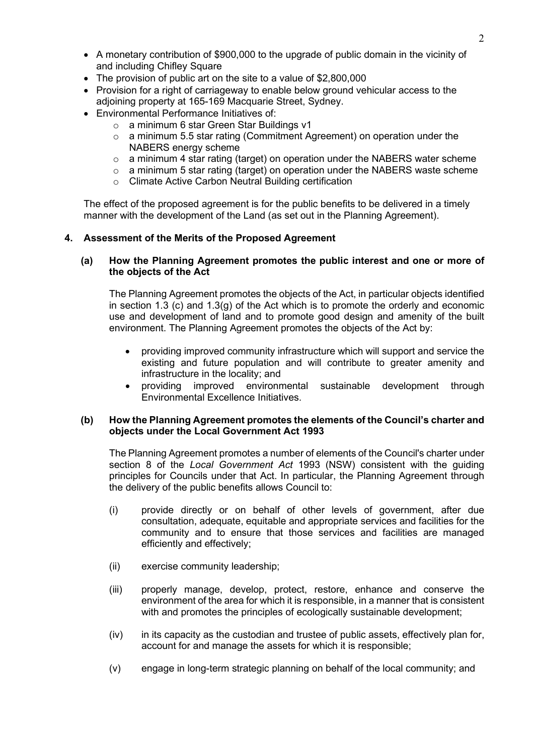- A monetary contribution of \$900,000 to the upgrade of public domain in the vicinity of and including Chifley Square
- The provision of public art on the site to a value of \$2,800,000
- Provision for a right of carriageway to enable below ground vehicular access to the adjoining property at 165-169 Macquarie Street, Sydney.
- Environmental Performance Initiatives of:
	- o a minimum 6 star Green Star Buildings v1
	- $\circ$  a minimum 5.5 star rating (Commitment Agreement) on operation under the NABERS energy scheme
	- $\circ$  a minimum 4 star rating (target) on operation under the NABERS water scheme
	- $\circ$  a minimum 5 star rating (target) on operation under the NABERS waste scheme
	- o Climate Active Carbon Neutral Building certification

The effect of the proposed agreement is for the public benefits to be delivered in a timely manner with the development of the Land (as set out in the Planning Agreement).

# **4. Assessment of the Merits of the Proposed Agreement**

# **(a) How the Planning Agreement promotes the public interest and one or more of the objects of the Act**

The Planning Agreement promotes the objects of the Act, in particular objects identified in section 1.3 (c) and 1.3(g) of the Act which is to promote the orderly and economic use and development of land and to promote good design and amenity of the built environment. The Planning Agreement promotes the objects of the Act by:

- providing improved community infrastructure which will support and service the existing and future population and will contribute to greater amenity and infrastructure in the locality; and
- providing improved environmental sustainable development through Environmental Excellence Initiatives.

# **(b) How the Planning Agreement promotes the elements of the Council's charter and objects under the Local Government Act 1993**

The Planning Agreement promotes a number of elements of the Council's charter under section 8 of the *Local Government Act* 1993 (NSW) consistent with the guiding principles for Councils under that Act. In particular, the Planning Agreement through the delivery of the public benefits allows Council to:

- (i) provide directly or on behalf of other levels of government, after due consultation, adequate, equitable and appropriate services and facilities for the community and to ensure that those services and facilities are managed efficiently and effectively;
- (ii) exercise community leadership;
- (iii) properly manage, develop, protect, restore, enhance and conserve the environment of the area for which it is responsible, in a manner that is consistent with and promotes the principles of ecologically sustainable development;
- (iv) in its capacity as the custodian and trustee of public assets, effectively plan for, account for and manage the assets for which it is responsible;
- (v) engage in long-term strategic planning on behalf of the local community; and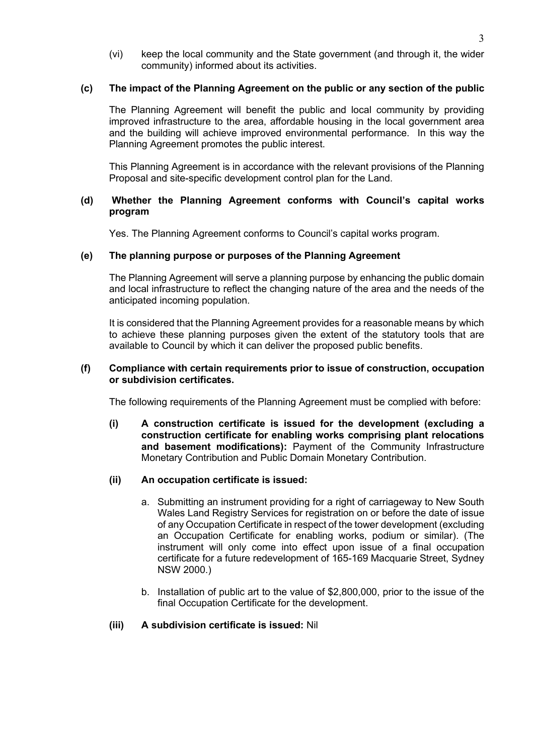(vi) keep the local community and the State government (and through it, the wider community) informed about its activities.

# **(c) The impact of the Planning Agreement on the public or any section of the public**

The Planning Agreement will benefit the public and local community by providing improved infrastructure to the area, affordable housing in the local government area and the building will achieve improved environmental performance. In this way the Planning Agreement promotes the public interest.

This Planning Agreement is in accordance with the relevant provisions of the Planning Proposal and site-specific development control plan for the Land.

# **(d) Whether the Planning Agreement conforms with Council's capital works program**

Yes. The Planning Agreement conforms to Council's capital works program.

## **(e) The planning purpose or purposes of the Planning Agreement**

The Planning Agreement will serve a planning purpose by enhancing the public domain and local infrastructure to reflect the changing nature of the area and the needs of the anticipated incoming population.

It is considered that the Planning Agreement provides for a reasonable means by which to achieve these planning purposes given the extent of the statutory tools that are available to Council by which it can deliver the proposed public benefits.

#### **(f) Compliance with certain requirements prior to issue of construction, occupation or subdivision certificates.**

The following requirements of the Planning Agreement must be complied with before:

**(i) A construction certificate is issued for the development (excluding a construction certificate for enabling works comprising plant relocations and basement modifications):** Payment of the Community Infrastructure Monetary Contribution and Public Domain Monetary Contribution.

#### **(ii) An occupation certificate is issued:**

- a. Submitting an instrument providing for a right of carriageway to New South Wales Land Registry Services for registration on or before the date of issue of any Occupation Certificate in respect of the tower development (excluding an Occupation Certificate for enabling works, podium or similar). (The instrument will only come into effect upon issue of a final occupation certificate for a future redevelopment of 165-169 Macquarie Street, Sydney NSW 2000.)
- b. Installation of public art to the value of \$2,800,000, prior to the issue of the final Occupation Certificate for the development.

# **(iii) A subdivision certificate is issued:** Nil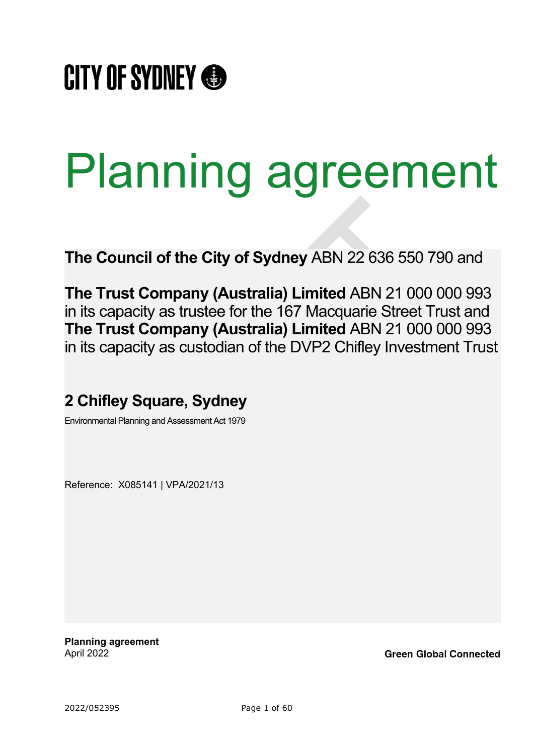

# Planning agreement

**The Council of the City of Sydney** ABN 22 636 550 790 and

**The Trust Company (Australia) Limited** ABN 21 000 000 993 in its capacity as trustee for the 167 Macquarie Street Trust and **The Trust Company (Australia) Limited** ABN 21 000 000 993 in its capacity as custodian of the DVP2 Chifley Investment Trust

# **2 Chifley Square, Sydney**

Environmental Planning and Assessment Act 1979

Reference: X085141 | VPA/2021/13

**Planning agreement** April 2022

**Green Global Connected**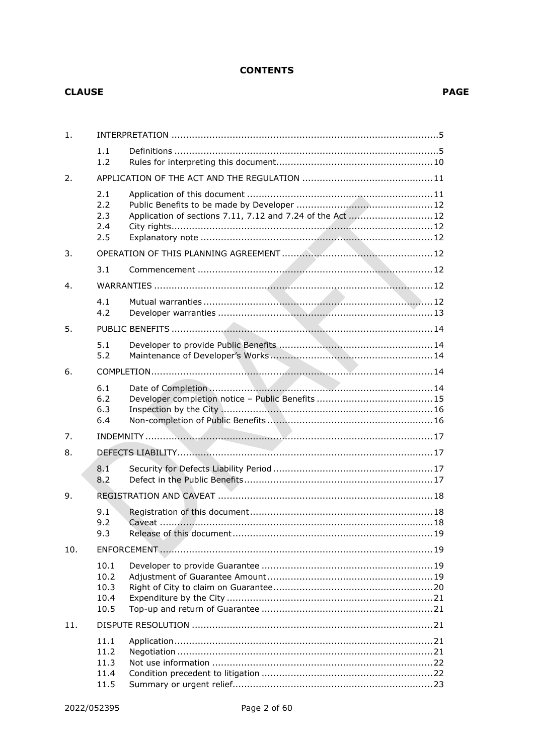# **CONTENTS**

#### **CLAUSE**

| $\mathbf{1}$ . |                                      |                                                           |  |
|----------------|--------------------------------------|-----------------------------------------------------------|--|
|                | 1.1<br>1.2                           |                                                           |  |
| 2.             |                                      |                                                           |  |
|                | 2.1<br>2.2<br>2.3<br>2.4<br>2.5      | Application of sections 7.11, 7.12 and 7.24 of the Act 12 |  |
| 3.             |                                      |                                                           |  |
|                | 3.1                                  |                                                           |  |
| 4.             |                                      |                                                           |  |
|                | 4.1<br>4.2                           |                                                           |  |
| 5.             |                                      |                                                           |  |
|                | 5.1<br>5.2                           |                                                           |  |
| 6.             |                                      |                                                           |  |
|                | 6.1<br>6.2<br>6.3<br>6.4             |                                                           |  |
| 7.             |                                      |                                                           |  |
| 8.             |                                      |                                                           |  |
|                | 8.1<br>8.2                           |                                                           |  |
| 9.             |                                      |                                                           |  |
|                | 9.1<br>9.2<br>9.3                    |                                                           |  |
| 10.            |                                      |                                                           |  |
|                | 10.1<br>10.2<br>10.3<br>10.4<br>10.5 |                                                           |  |
| 11.            |                                      |                                                           |  |
|                | 11.1<br>11.2<br>11.3<br>11.4<br>11.5 |                                                           |  |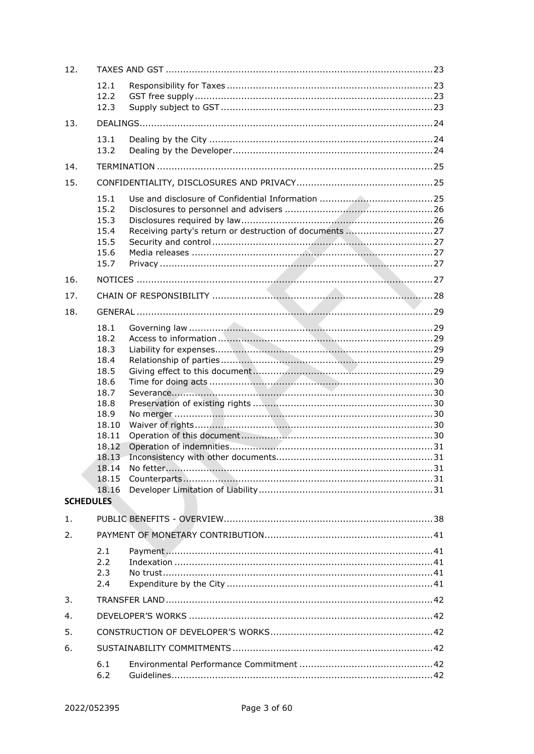| 12.              |                                                                                                                                     |  |  |  |
|------------------|-------------------------------------------------------------------------------------------------------------------------------------|--|--|--|
|                  | 12.1<br>12.2<br>12.3                                                                                                                |  |  |  |
| 13.              |                                                                                                                                     |  |  |  |
|                  | 13.1<br>13.2                                                                                                                        |  |  |  |
| 14.              |                                                                                                                                     |  |  |  |
| 15.              |                                                                                                                                     |  |  |  |
|                  | 15.1<br>15.2<br>15.3<br>15.4<br>15.5<br>15.6<br>15.7                                                                                |  |  |  |
| 16.              |                                                                                                                                     |  |  |  |
| 17.              |                                                                                                                                     |  |  |  |
| 18.              |                                                                                                                                     |  |  |  |
| <b>SCHEDULES</b> | 18.1<br>18.2<br>18.3<br>18.4<br>18.5<br>18.6<br>18.7<br>18.8<br>18.9<br>18.10<br>18.11<br>18.12<br>18.13<br>18.14<br>18.15<br>18.16 |  |  |  |
| 1.               |                                                                                                                                     |  |  |  |
| 2.               |                                                                                                                                     |  |  |  |
|                  | 2.1<br>2.2<br>2.3<br>2.4                                                                                                            |  |  |  |
| 3.               |                                                                                                                                     |  |  |  |
| 4.               |                                                                                                                                     |  |  |  |
| 5.               |                                                                                                                                     |  |  |  |
| 6.               |                                                                                                                                     |  |  |  |
|                  | 6.1<br>6.2                                                                                                                          |  |  |  |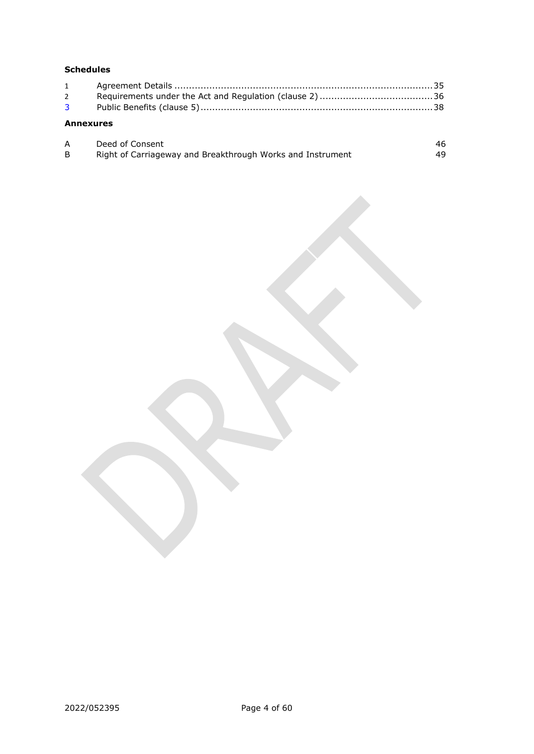# **Schedules**

| $2^{\sim}$       |  |
|------------------|--|
|                  |  |
| <b>Annexures</b> |  |

| Deed of Consent                                            |    |
|------------------------------------------------------------|----|
| Right of Carriageway and Breakthrough Works and Instrument | 49 |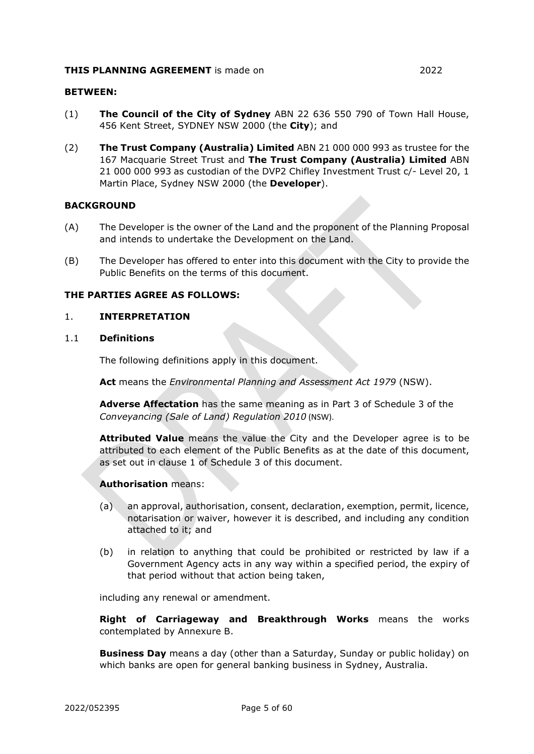#### **THIS PLANNING AGREEMENT** is made on 2022

#### **BETWEEN:**

- (1) **The Council of the City of Sydney** ABN 22 636 550 790 of Town Hall House, 456 Kent Street, SYDNEY NSW 2000 (the **City**); and
- (2) **The Trust Company (Australia) Limited** ABN [21 000 000 993](https://abr.business.gov.au/ABN/View?abn=21000000993) as trustee for the 167 Macquarie Street Trust and **The Trust Company (Australia) Limited** ABN [21 000 000 993](https://abr.business.gov.au/ABN/View?abn=21000000993) as custodian of the DVP2 Chifley Investment Trust c/- Level 20, 1 Martin Place, Sydney NSW 2000 (the **Developer**).

#### **BACKGROUND**

- (A) The Developer is the owner of the Land and the proponent of the Planning Proposal and intends to undertake the Development on the Land.
- (B) The Developer has offered to enter into this document with the City to provide the Public Benefits on the terms of this document.

#### **THE PARTIES AGREE AS FOLLOWS:**

#### <span id="page-7-0"></span>1. **INTERPRETATION**

#### <span id="page-7-1"></span>1.1 **Definitions**

The following definitions apply in this document.

**Act** means the *Environmental Planning and Assessment Act 1979* (NSW).

**Adverse Affectation** has the same meaning as in Part 3 of [Schedule 3](#page-40-2) of the *Conveyancing (Sale of Land) Regulation 2010* (NSW).

**Attributed Value** means the value the City and the Developer agree is to be attributed to each element of the Public Benefits as at the date of this document, as set out in clause [1](#page-40-0) of [Schedule 3](#page-40-2) of this document.

#### **Authorisation** means:

- (a) an approval, authorisation, consent, declaration, exemption, permit, licence, notarisation or waiver, however it is described, and including any condition attached to it; and
- (b) in relation to anything that could be prohibited or restricted by law if a Government Agency acts in any way within a specified period, the expiry of that period without that action being taken,

including any renewal or amendment.

**Right of Carriageway and Breakthrough Works** means the works contemplated by [Annexure B.](#page-51-0)

**Business Day** means a day (other than a Saturday, Sunday or public holiday) on which banks are open for general banking business in Sydney, Australia.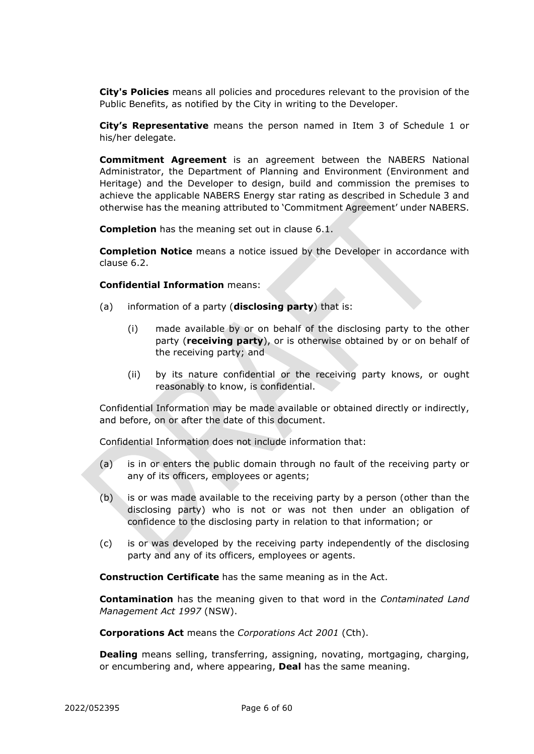**City's Policies** means all policies and procedures relevant to the provision of the Public Benefits, as notified by the City in writing to the Developer.

**City's Representative** means the person named in Item 3 of [Schedule 1](#page-37-1) or his/her delegate.

**Commitment Agreement** is an agreement between the NABERS National Administrator, the Department of Planning and Environment (Environment and Heritage) and the Developer to design, build and commission the premises to achieve the applicable NABERS Energy star rating as described in Schedule 3 and otherwise has the meaning attributed to 'Commitment Agreement' under NABERS.

**Completion** has the meaning set out in clause [6.1.](#page-16-4)

**Completion Notice** means a notice issued by the Developer in accordance with clause [6.2.](#page-17-0)

**Confidential Information** means:

- (a) information of a party (**disclosing party**) that is:
	- (i) made available by or on behalf of the disclosing party to the other party (**receiving party**), or is otherwise obtained by or on behalf of the receiving party; and
	- (ii) by its nature confidential or the receiving party knows, or ought reasonably to know, is confidential.

Confidential Information may be made available or obtained directly or indirectly, and before, on or after the date of this document.

Confidential Information does not include information that:

- (a) is in or enters the public domain through no fault of the receiving party or any of its officers, employees or agents;
- (b) is or was made available to the receiving party by a person (other than the disclosing party) who is not or was not then under an obligation of confidence to the disclosing party in relation to that information; or
- (c) is or was developed by the receiving party independently of the disclosing party and any of its officers, employees or agents.

**Construction Certificate** has the same meaning as in the Act.

**Contamination** has the meaning given to that word in the *Contaminated Land Management Act 1997* (NSW).

**Corporations Act** means the *Corporations Act 2001* (Cth).

**Dealing** means selling, transferring, assigning, novating, mortgaging, charging, or encumbering and, where appearing, **Deal** has the same meaning.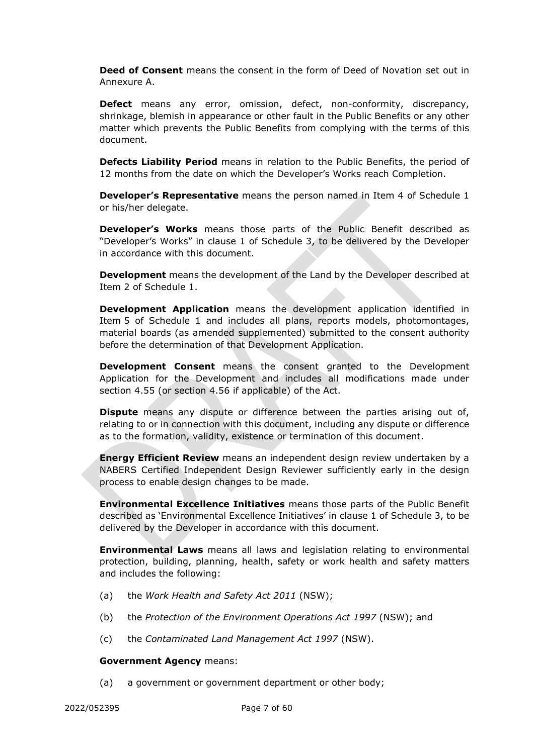**Deed of Consent** means the consent in the form of Deed of Novation set out in [Annexure A.](#page-48-0)

**Defect** means any error, omission, defect, non-conformity, discrepancy, shrinkage, blemish in appearance or other fault in the Public Benefits or any other matter which prevents the Public Benefits from complying with the terms of this document.

**Defects Liability Period** means in relation to the Public Benefits, the period of 12 months from the date on which the Developer's Works reach Completion.

**Developer's Representative** means the person named in Item 4 of [Schedule 1](#page-37-1) or his/her delegate.

**Developer's Works** means those parts of the Public Benefit described as "Developer's Works" in clause 1 of [Schedule 3,](#page-40-2) to be delivered by the Developer in accordance with this document.

**Development** means the development of the Land by the Developer described at Item 2 of [Schedule 1.](#page-37-1)

**Development Application** means the development application identified in Item 5 of [Schedule 1](#page-37-1) and includes all plans, reports models, photomontages, material boards (as amended supplemented) submitted to the consent authority before the determination of that Development Application.

**Development Consent** means the consent granted to the Development Application for the Development and includes all modifications made under section 4.55 (or section 4.56 if applicable) of the Act.

**Dispute** means any dispute or difference between the parties arising out of, relating to or in connection with this document, including any dispute or difference as to the formation, validity, existence or termination of this document.

**Energy Efficient Review** means an independent design review undertaken by a NABERS Certified Independent Design Reviewer sufficiently early in the design process to enable design changes to be made.

**Environmental Excellence Initiatives** means those parts of the Public Benefit described as 'Environmental Excellence Initiatives' in clause 1 of Schedule 3, to be delivered by the Developer in accordance with this document.

**Environmental Laws** means all laws and legislation relating to environmental protection, building, planning, health, safety or work health and safety matters and includes the following:

- (a) the *Work Health and Safety Act 2011* (NSW);
- (b) the *Protection of the Environment Operations Act 1997* (NSW); and
- (c) the *Contaminated Land Management Act 1997* (NSW).

#### **Government Agency** means:

(a) a government or government department or other body;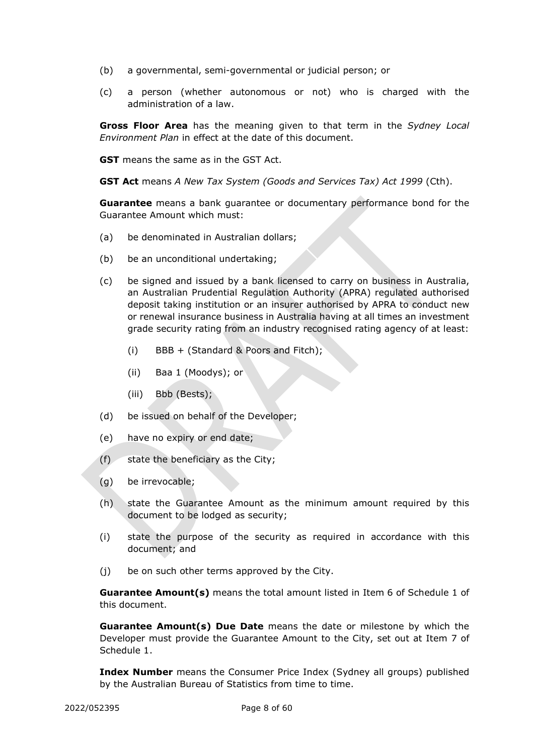- (b) a governmental, semi-governmental or judicial person; or
- (c) a person (whether autonomous or not) who is charged with the administration of a law.

**Gross Floor Area** has the meaning given to that term in the *Sydney Local Environment Plan* in effect at the date of this document.

**GST** means the same as in the GST Act.

**GST Act** means *A New Tax System (Goods and Services Tax) Act 1999* (Cth).

**Guarantee** means a bank guarantee or documentary performance bond for the Guarantee Amount which must:

- (a) be denominated in Australian dollars;
- (b) be an unconditional undertaking;
- (c) be signed and issued by a bank licensed to carry on business in Australia, an Australian Prudential Regulation Authority (APRA) regulated authorised deposit taking institution or an insurer authorised by APRA to conduct new or renewal insurance business in Australia having at all times an investment grade security rating from an industry recognised rating agency of at least:
	- (i) BBB + (Standard & Poors and Fitch);
	- (ii) Baa 1 (Moodys); or
	- (iii) Bbb (Bests);
- (d) be issued on behalf of the Developer;
- (e) have no expiry or end date;
- (f) state the beneficiary as the City;
- (g) be irrevocable;
- (h) state the Guarantee Amount as the minimum amount required by this document to be lodged as security;
- (i) state the purpose of the security as required in accordance with this document; and
- (j) be on such other terms approved by the City.

**Guarantee Amount(s)** means the total amount listed in Item 6 of [Schedule 1](#page-37-1) of this document.

**Guarantee Amount(s) Due Date** means the date or milestone by which the Developer must provide the Guarantee Amount to the City, set out at Item 7 of [Schedule 1.](#page-37-1)

**Index Number** means the Consumer Price Index (Sydney all groups) published by the Australian Bureau of Statistics from time to time.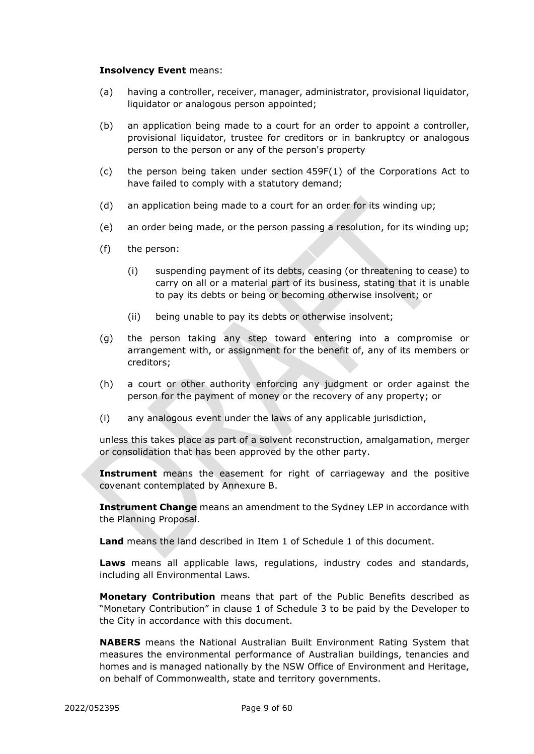#### **Insolvency Event** means:

- (a) having a controller, receiver, manager, administrator, provisional liquidator, liquidator or analogous person appointed;
- (b) an application being made to a court for an order to appoint a controller, provisional liquidator, trustee for creditors or in bankruptcy or analogous person to the person or any of the person's property
- (c) the person being taken under section 459F(1) of the Corporations Act to have failed to comply with a statutory demand;
- (d) an application being made to a court for an order for its winding up;
- (e) an order being made, or the person passing a resolution, for its winding up;
- (f) the person:
	- (i) suspending payment of its debts, ceasing (or threatening to cease) to carry on all or a material part of its business, stating that it is unable to pay its debts or being or becoming otherwise insolvent; or
	- (ii) being unable to pay its debts or otherwise insolvent;
- (g) the person taking any step toward entering into a compromise or arrangement with, or assignment for the benefit of, any of its members or creditors;
- (h) a court or other authority enforcing any judgment or order against the person for the payment of money or the recovery of any property; or
- (i) any analogous event under the laws of any applicable jurisdiction,

unless this takes place as part of a solvent reconstruction, amalgamation, merger or consolidation that has been approved by the other party.

**Instrument** means the easement for right of carriageway and the positive covenant contemplated by [Annexure B.](#page-51-0)

**Instrument Change** means an amendment to the Sydney LEP in accordance with the Planning Proposal.

**Land** means the land described in Item 1 of [Schedule 1](#page-37-1) of this document.

**Laws** means all applicable laws, regulations, industry codes and standards, including all Environmental Laws.

**Monetary Contribution** means that part of the Public Benefits described as "Monetary Contribution" in clause 1 of [Schedule 3](#page-40-2) to be paid by the Developer to the City in accordance with this document.

**NABERS** means the National Australian Built Environment Rating System that measures the environmental performance of Australian buildings, tenancies and homes and is managed nationally by the NSW Office of Environment and Heritage, on behalf of Commonwealth, state and territory governments.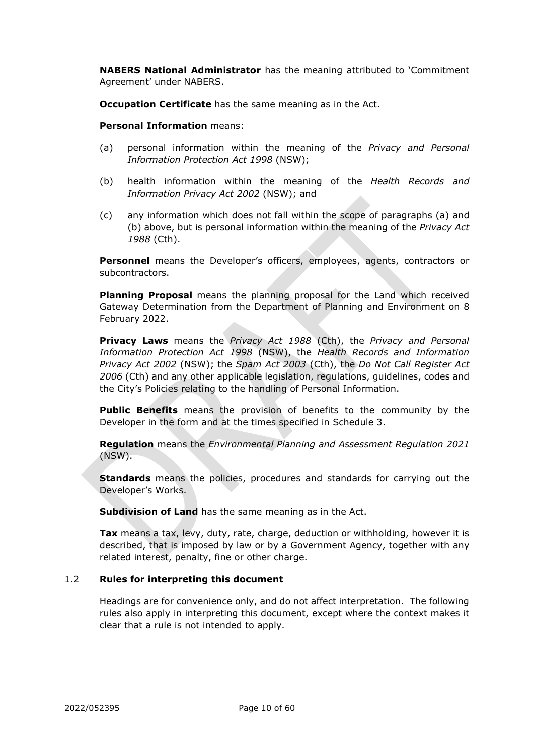**NABERS National Administrator** has the meaning attributed to 'Commitment Agreement' under NABERS.

**Occupation Certificate** has the same meaning as in the Act.

**Personal Information** means:

- (a) personal information within the meaning of the *Privacy and Personal Information Protection Act 1998* (NSW);
- (b) health information within the meaning of the *Health Records and Information Privacy Act 2002* (NSW); and
- (c) any information which does not fall within the scope of paragraphs (a) and (b) above, but is personal information within the meaning of the *Privacy Act 1988* (Cth).

**Personnel** means the Developer's officers, employees, agents, contractors or subcontractors.

**Planning Proposal** means the planning proposal for the Land which received Gateway Determination from the Department of Planning and Environment on 8 February 2022.

**Privacy Laws** means the *Privacy Act 1988* (Cth), the *Privacy and Personal Information Protection Act 1998* (NSW), the *Health Records and Information Privacy Act 2002* (NSW); the *Spam Act 2003* (Cth), the *Do Not Call Register Act 2006* (Cth) and any other applicable legislation, regulations, guidelines, codes and the City's Policies relating to the handling of Personal Information.

**Public Benefits** means the provision of benefits to the community by the Developer in the form and at the times specified in [Schedule 3.](#page-40-2)

**Regulation** means the *Environmental Planning and Assessment Regulation 2021* (NSW).

**Standards** means the policies, procedures and standards for carrying out the Developer's Works.

**Subdivision of Land** has the same meaning as in the Act.

**Tax** means a tax, levy, duty, rate, charge, deduction or withholding, however it is described, that is imposed by law or by a Government Agency, together with any related interest, penalty, fine or other charge.

# <span id="page-12-0"></span>1.2 **Rules for interpreting this document**

Headings are for convenience only, and do not affect interpretation. The following rules also apply in interpreting this document, except where the context makes it clear that a rule is not intended to apply.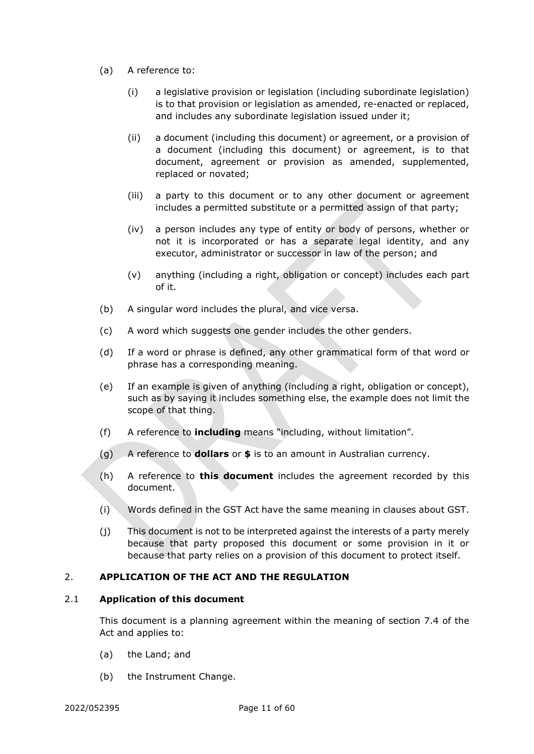- (a) A reference to:
	- (i) a legislative provision or legislation (including subordinate legislation) is to that provision or legislation as amended, re-enacted or replaced, and includes any subordinate legislation issued under it;
	- (ii) a document (including this document) or agreement, or a provision of a document (including this document) or agreement, is to that document, agreement or provision as amended, supplemented, replaced or novated;
	- (iii) a party to this document or to any other document or agreement includes a permitted substitute or a permitted assign of that party;
	- (iv) a person includes any type of entity or body of persons, whether or not it is incorporated or has a separate legal identity, and any executor, administrator or successor in law of the person; and
	- (v) anything (including a right, obligation or concept) includes each part of it.
- (b) A singular word includes the plural, and vice versa.
- (c) A word which suggests one gender includes the other genders.
- (d) If a word or phrase is defined, any other grammatical form of that word or phrase has a corresponding meaning.
- (e) If an example is given of anything (including a right, obligation or concept), such as by saying it includes something else, the example does not limit the scope of that thing.
- (f) A reference to **including** means "including, without limitation".
- (g) A reference to **dollars** or **\$** is to an amount in Australian currency.
- (h) A reference to **this document** includes the agreement recorded by this document.
- (i) Words defined in the GST Act have the same meaning in clauses about GST.
- (j) This document is not to be interpreted against the interests of a party merely because that party proposed this document or some provision in it or because that party relies on a provision of this document to protect itself.

#### <span id="page-13-0"></span>2. **APPLICATION OF THE ACT AND THE REGULATION**

#### <span id="page-13-1"></span>2.1 **Application of this document**

This document is a planning agreement within the meaning of section 7.4 of the Act and applies to:

- (a) the Land; and
- (b) the Instrument Change.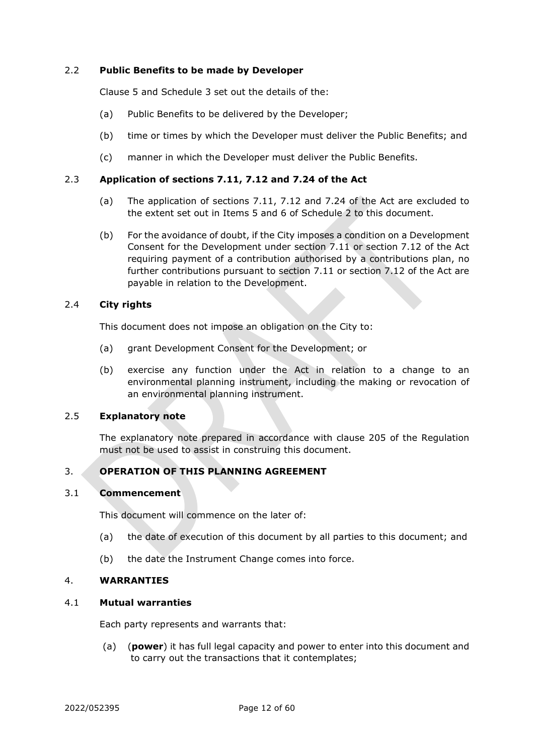## <span id="page-14-0"></span>2.2 **Public Benefits to be made by Developer**

Clause [5](#page-16-0) and [Schedule 3](#page-40-2) set out the details of the:

- (a) Public Benefits to be delivered by the Developer;
- (b) time or times by which the Developer must deliver the Public Benefits; and
- (c) manner in which the Developer must deliver the Public Benefits.

## <span id="page-14-1"></span>2.3 **Application of sections 7.11, 7.12 and 7.24 of the Act**

- (a) The application of sections 7.11, 7.12 and 7.24 of the Act are excluded to the extent set out in Items [5](#page-38-1) and [6](#page-39-0) of [Schedule 2](#page-38-2) to this document.
- (b) For the avoidance of doubt, if the City imposes a condition on a Development Consent for the Development under section 7.11 or section 7.12 of the Act requiring payment of a contribution authorised by a contributions plan, no further contributions pursuant to section 7.11 or section 7.12 of the Act are payable in relation to the Development.

## <span id="page-14-2"></span>2.4 **City rights**

This document does not impose an obligation on the City to:

- (a) grant Development Consent for the Development; or
- (b) exercise any function under the Act in relation to a change to an environmental planning instrument, including the making or revocation of an environmental planning instrument.

#### <span id="page-14-3"></span>2.5 **Explanatory note**

The explanatory note prepared in accordance with clause 205 of the Regulation must not be used to assist in construing this document.

# <span id="page-14-4"></span>3. **OPERATION OF THIS PLANNING AGREEMENT**

#### <span id="page-14-5"></span>3.1 **Commencement**

This document will commence on the later of:

- (a) the date of execution of this document by all parties to this document; and
- (b) the date the Instrument Change comes into force.

#### <span id="page-14-6"></span>4. **WARRANTIES**

#### <span id="page-14-7"></span>4.1 **Mutual warranties**

Each party represents and warrants that:

(a) (**power**) it has full legal capacity and power to enter into this document and to carry out the transactions that it contemplates;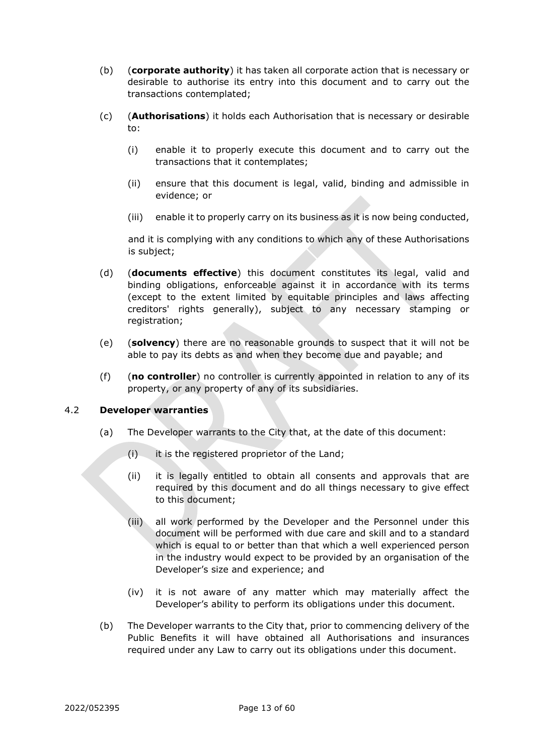- (b) (**corporate authority**) it has taken all corporate action that is necessary or desirable to authorise its entry into this document and to carry out the transactions contemplated;
- (c) (**Authorisations**) it holds each Authorisation that is necessary or desirable to:
	- (i) enable it to properly execute this document and to carry out the transactions that it contemplates;
	- (ii) ensure that this document is legal, valid, binding and admissible in evidence; or
	- (iii) enable it to properly carry on its business as it is now being conducted,

and it is complying with any conditions to which any of these Authorisations is subject;

- (d) (**documents effective**) this document constitutes its legal, valid and binding obligations, enforceable against it in accordance with its terms (except to the extent limited by equitable principles and laws affecting creditors' rights generally), subject to any necessary stamping or registration;
- (e) (**solvency**) there are no reasonable grounds to suspect that it will not be able to pay its debts as and when they become due and payable; and
- (f) (**no controller**) no controller is currently appointed in relation to any of its property, or any property of any of its subsidiaries.

# <span id="page-15-0"></span>4.2 **Developer warranties**

- (a) The Developer warrants to the City that, at the date of this document:
	- (i) it is the registered proprietor of the Land;
	- (ii) it is legally entitled to obtain all consents and approvals that are required by this document and do all things necessary to give effect to this document;
	- (iii) all work performed by the Developer and the Personnel under this document will be performed with due care and skill and to a standard which is equal to or better than that which a well experienced person in the industry would expect to be provided by an organisation of the Developer's size and experience; and
	- (iv) it is not aware of any matter which may materially affect the Developer's ability to perform its obligations under this document.
- (b) The Developer warrants to the City that, prior to commencing delivery of the Public Benefits it will have obtained all Authorisations and insurances required under any Law to carry out its obligations under this document.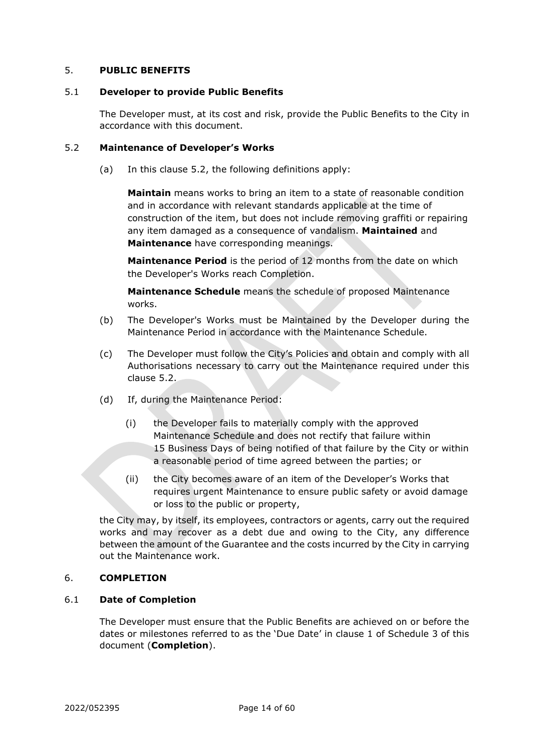# <span id="page-16-0"></span>5. **PUBLIC BENEFITS**

#### <span id="page-16-1"></span>5.1 **Developer to provide Public Benefits**

The Developer must, at its cost and risk, provide the Public Benefits to the City in accordance with this document.

#### <span id="page-16-2"></span>5.2 **Maintenance of Developer's Works**

(a) In this clause [5.2,](#page-16-2) the following definitions apply:

**Maintain** means works to bring an item to a state of reasonable condition and in accordance with relevant standards applicable at the time of construction of the item, but does not include removing graffiti or repairing any item damaged as a consequence of vandalism. **Maintained** and **Maintenance** have corresponding meanings.

**Maintenance Period** is the period of 12 months from the date on which the Developer's Works reach Completion.

**Maintenance Schedule** means the schedule of proposed Maintenance works.

- (b) The Developer's Works must be Maintained by the Developer during the Maintenance Period in accordance with the Maintenance Schedule.
- (c) The Developer must follow the City's Policies and obtain and comply with all Authorisations necessary to carry out the Maintenance required under this clause [5.2.](#page-16-2)
- (d) If, during the Maintenance Period:
	- (i) the Developer fails to materially comply with the approved Maintenance Schedule and does not rectify that failure within 15 Business Days of being notified of that failure by the City or within a reasonable period of time agreed between the parties; or
	- (ii) the City becomes aware of an item of the Developer's Works that requires urgent Maintenance to ensure public safety or avoid damage or loss to the public or property,

the City may, by itself, its employees, contractors or agents, carry out the required works and may recover as a debt due and owing to the City, any difference between the amount of the Guarantee and the costs incurred by the City in carrying out the Maintenance work.

#### <span id="page-16-3"></span>6. **COMPLETION**

#### <span id="page-16-4"></span>6.1 **Date of Completion**

The Developer must ensure that the Public Benefits are achieved on or before the dates or milestones referred to as the 'Due Date' in clause [1](#page-40-0) of [Schedule 3](#page-40-2) of this document (**Completion**).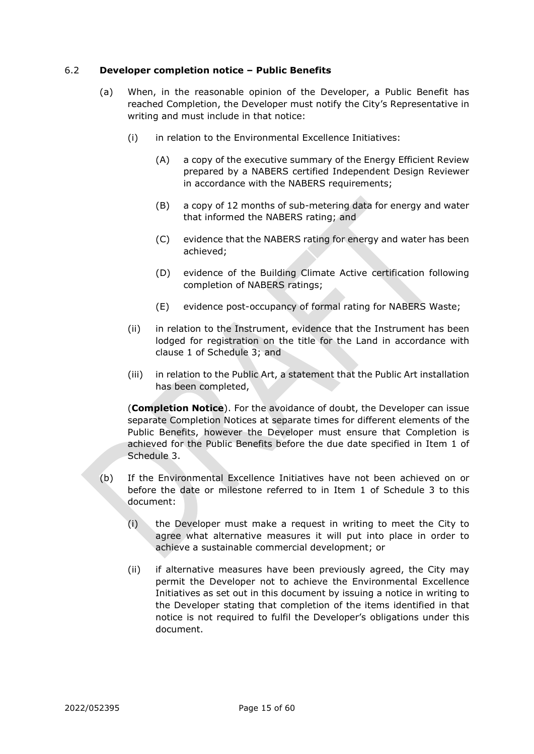#### <span id="page-17-0"></span>6.2 **Developer completion notice – Public Benefits**

- (a) When, in the reasonable opinion of the Developer, a Public Benefit has reached Completion, the Developer must notify the City's Representative in writing and must include in that notice:
	- (i) in relation to the Environmental Excellence Initiatives:
		- (A) a copy of the executive summary of the Energy Efficient Review prepared by a NABERS certified Independent Design Reviewer in accordance with the NABERS requirements;
		- (B) a copy of 12 months of sub-metering data for energy and water that informed the NABERS rating; and
		- (C) evidence that the NABERS rating for energy and water has been achieved;
		- (D) evidence of the Building Climate Active certification following completion of NABERS ratings;
		- (E) evidence post-occupancy of formal rating for NABERS Waste;
	- (ii) in relation to the Instrument, evidence that the Instrument has been lodged for registration on the title for the Land in accordance with clause 1 of Schedule 3; and
	- (iii) in relation to the Public Art, a statement that the Public Art installation has been completed,

(**Completion Notice**). For the avoidance of doubt, the Developer can issue separate Completion Notices at separate times for different elements of the Public Benefits, however the Developer must ensure that Completion is achieved for the Public Benefits before the due date specified in Item 1 of Schedule 3.

- (b) If the Environmental Excellence Initiatives have not been achieved on or before the date or milestone referred to in Item 1 of Schedule 3 to this document:
	- (i) the Developer must make a request in writing to meet the City to agree what alternative measures it will put into place in order to achieve a sustainable commercial development; or
	- (ii) if alternative measures have been previously agreed, the City may permit the Developer not to achieve the Environmental Excellence Initiatives as set out in this document by issuing a notice in writing to the Developer stating that completion of the items identified in that notice is not required to fulfil the Developer's obligations under this document.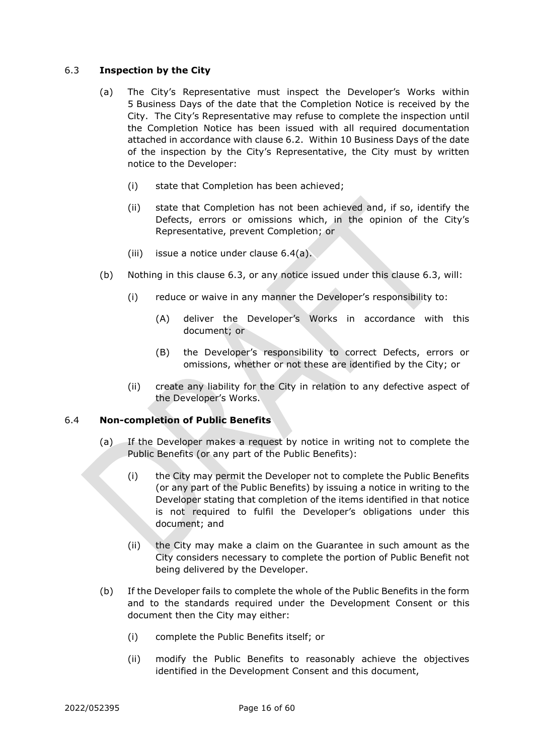# <span id="page-18-0"></span>6.3 **Inspection by the City**

- (a) The City's Representative must inspect the Developer's Works within 5 Business Days of the date that the Completion Notice is received by the City. The City's Representative may refuse to complete the inspection until the Completion Notice has been issued with all required documentation attached in accordance with clause [6.2.](#page-17-0) Within 10 Business Days of the date of the inspection by the City's Representative, the City must by written notice to the Developer:
	- (i) state that Completion has been achieved;
	- (ii) state that Completion has not been achieved and, if so, identify the Defects, errors or omissions which, in the opinion of the City's Representative, prevent Completion; or
	- (iii) issue a notice under clause [6.4\(a\).](#page-18-2)
- <span id="page-18-5"></span>(b) Nothing in this clause [6.3,](#page-18-0) or any notice issued under this clause [6.3,](#page-18-0) will:
	- (i) reduce or waive in any manner the Developer's responsibility to:
		- (A) deliver the Developer's Works in accordance with this document; or
		- (B) the Developer's responsibility to correct Defects, errors or omissions, whether or not these are identified by the City; or
	- (ii) create any liability for the City in relation to any defective aspect of the Developer's Works.

#### <span id="page-18-2"></span><span id="page-18-1"></span>6.4 **Non-completion of Public Benefits**

- (a) If the Developer makes a request by notice in writing not to complete the Public Benefits (or any part of the Public Benefits):
	- (i) the City may permit the Developer not to complete the Public Benefits (or any part of the Public Benefits) by issuing a notice in writing to the Developer stating that completion of the items identified in that notice is not required to fulfil the Developer's obligations under this document; and
	- (ii) the City may make a claim on the Guarantee in such amount as the City considers necessary to complete the portion of Public Benefit not being delivered by the Developer.
- <span id="page-18-4"></span><span id="page-18-3"></span>(b) If the Developer fails to complete the whole of the Public Benefits in the form and to the standards required under the Development Consent or this document then the City may either:
	- (i) complete the Public Benefits itself; or
	- (ii) modify the Public Benefits to reasonably achieve the objectives identified in the Development Consent and this document,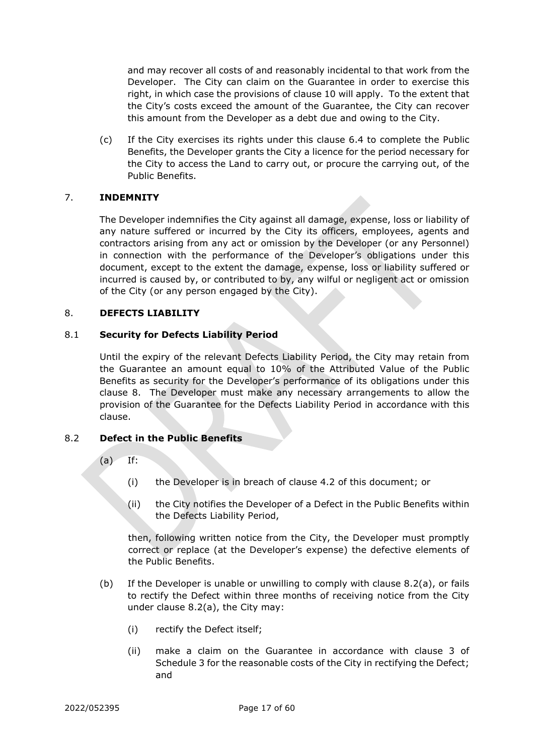and may recover all costs of and reasonably incidental to that work from the Developer. The City can claim on the Guarantee in order to exercise this right, in which case the provisions of clause [10](#page-21-1) will apply. To the extent that the City's costs exceed the amount of the Guarantee, the City can recover this amount from the Developer as a debt due and owing to the City.

(c) If the City exercises its rights under this clause [6.4](#page-18-1) to complete the Public Benefits, the Developer grants the City a licence for the period necessary for the City to access the Land to carry out, or procure the carrying out, of the Public Benefits.

## <span id="page-19-0"></span>7. **INDEMNITY**

The Developer indemnifies the City against all damage, expense, loss or liability of any nature suffered or incurred by the City its officers, employees, agents and contractors arising from any act or omission by the Developer (or any Personnel) in connection with the performance of the Developer's obligations under this document, except to the extent the damage, expense, loss or liability suffered or incurred is caused by, or contributed to by, any wilful or negligent act or omission of the City (or any person engaged by the City).

#### <span id="page-19-1"></span>8. **DEFECTS LIABILITY**

#### <span id="page-19-2"></span>8.1 **Security for Defects Liability Period**

Until the expiry of the relevant Defects Liability Period, the City may retain from the Guarantee an amount equal to 10% of the Attributed Value of the Public Benefits as security for the Developer's performance of its obligations under this clause [8.](#page-19-1) The Developer must make any necessary arrangements to allow the provision of the Guarantee for the Defects Liability Period in accordance with this clause.

#### <span id="page-19-4"></span><span id="page-19-3"></span>8.2 **Defect in the Public Benefits**

- $(a)$  If:
	- (i) the Developer is in breach of clause [4.2](#page-15-0) of this document; or
	- (ii) the City notifies the Developer of a Defect in the Public Benefits within the Defects Liability Period,

then, following written notice from the City, the Developer must promptly correct or replace (at the Developer's expense) the defective elements of the Public Benefits.

- (b) If the Developer is unable or unwilling to comply with clause [8.2\(a\),](#page-19-4) or fails to rectify the Defect within three months of receiving notice from the City under clause [8.2\(a\),](#page-19-4) the City may:
	- (i) rectify the Defect itself;
	- (ii) make a claim on the Guarantee in accordance with clause 3 of Schedule 3 for the reasonable costs of the City in rectifying the Defect; and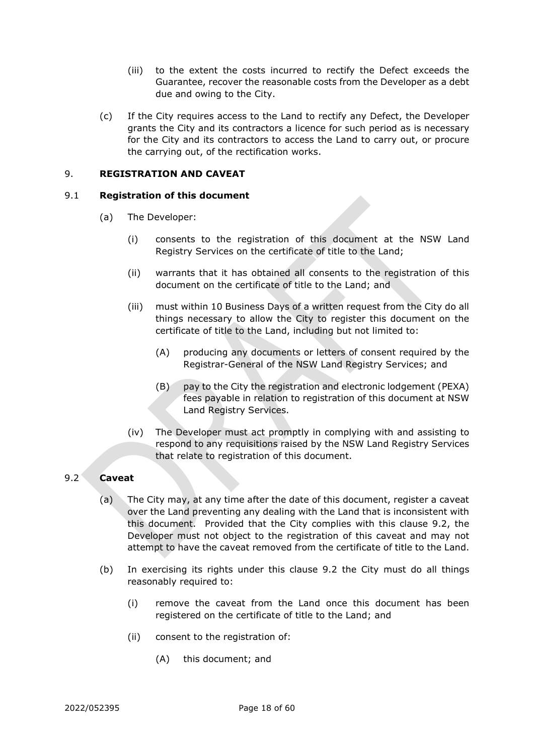- (iii) to the extent the costs incurred to rectify the Defect exceeds the Guarantee, recover the reasonable costs from the Developer as a debt due and owing to the City.
- (c) If the City requires access to the Land to rectify any Defect, the Developer grants the City and its contractors a licence for such period as is necessary for the City and its contractors to access the Land to carry out, or procure the carrying out, of the rectification works.

# <span id="page-20-0"></span>9. **REGISTRATION AND CAVEAT**

#### <span id="page-20-1"></span>9.1 **Registration of this document**

- (a) The Developer:
	- (i) consents to the registration of this document at the NSW Land Registry Services on the certificate of title to the Land;
	- (ii) warrants that it has obtained all consents to the registration of this document on the certificate of title to the Land; and
	- (iii) must within 10 Business Days of a written request from the City do all things necessary to allow the City to register this document on the certificate of title to the Land, including but not limited to:
		- (A) producing any documents or letters of consent required by the Registrar-General of the NSW Land Registry Services; and
		- (B) pay to the City the registration and electronic lodgement (PEXA) fees payable in relation to registration of this document at NSW Land Registry Services.
	- (iv) The Developer must act promptly in complying with and assisting to respond to any requisitions raised by the NSW Land Registry Services that relate to registration of this document.

# <span id="page-20-2"></span>9.2 **Caveat**

- (a) The City may, at any time after the date of this document, register a caveat over the Land preventing any dealing with the Land that is inconsistent with this document. Provided that the City complies with this clause [9.2,](#page-20-2) the Developer must not object to the registration of this caveat and may not attempt to have the caveat removed from the certificate of title to the Land.
- (b) In exercising its rights under this clause [9.2](#page-20-2) the City must do all things reasonably required to:
	- (i) remove the caveat from the Land once this document has been registered on the certificate of title to the Land; and
	- (ii) consent to the registration of:
		- (A) this document; and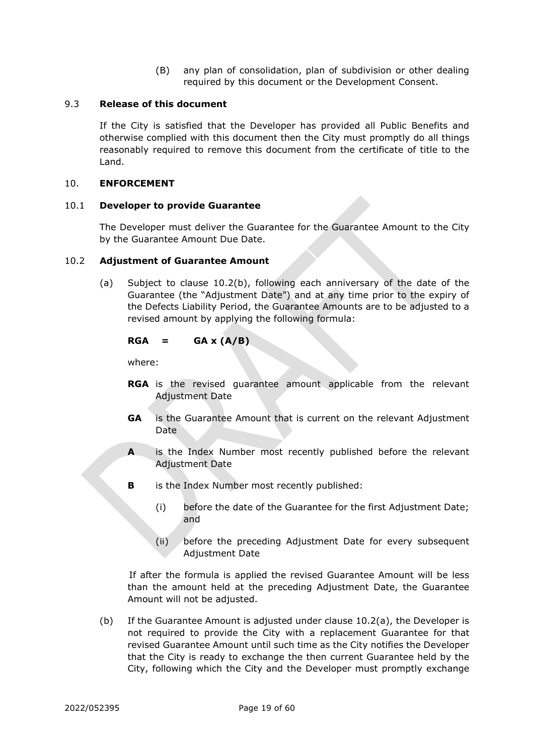(B) any plan of consolidation, plan of subdivision or other dealing required by this document or the Development Consent.

#### <span id="page-21-0"></span>9.3 **Release of this document**

If the City is satisfied that the Developer has provided all Public Benefits and otherwise complied with this document then the City must promptly do all things reasonably required to remove this document from the certificate of title to the Land.

#### <span id="page-21-1"></span>10. **ENFORCEMENT**

#### <span id="page-21-2"></span>10.1 **Developer to provide Guarantee**

The Developer must deliver the Guarantee for the Guarantee Amount to the City by the Guarantee Amount Due Date.

#### <span id="page-21-5"></span><span id="page-21-3"></span>10.2 **Adjustment of Guarantee Amount**

(a) Subject to clause [10.2\(b\),](#page-21-4) following each anniversary of the date of the Guarantee (the "Adjustment Date") and at any time prior to the expiry of the Defects Liability Period, the Guarantee Amounts are to be adjusted to a revised amount by applying the following formula:

#### $RGA = GAX (A/B)$

where:

- **RGA** is the revised guarantee amount applicable from the relevant Adjustment Date
- **GA** is the Guarantee Amount that is current on the relevant Adjustment Date
- **A** is the Index Number most recently published before the relevant Adjustment Date
- **B** is the Index Number most recently published:
	- (i) before the date of the Guarantee for the first Adjustment Date; and
	- (ii) before the preceding Adjustment Date for every subsequent Adjustment Date

If after the formula is applied the revised Guarantee Amount will be less than the amount held at the preceding Adjustment Date, the Guarantee Amount will not be adjusted.

<span id="page-21-4"></span>(b) If the Guarantee Amount is adjusted under clause [10.2](#page-21-3)[\(a\),](#page-21-5) the Developer is not required to provide the City with a replacement Guarantee for that revised Guarantee Amount until such time as the City notifies the Developer that the City is ready to exchange the then current Guarantee held by the City, following which the City and the Developer must promptly exchange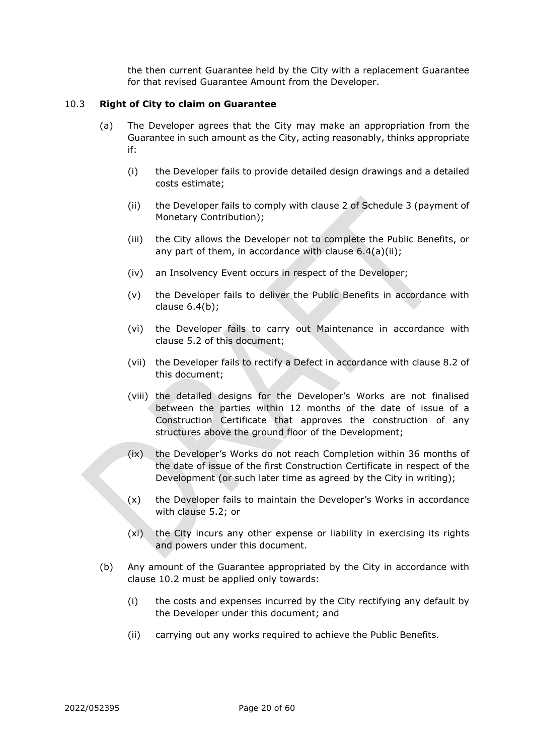the then current Guarantee held by the City with a replacement Guarantee for that revised Guarantee Amount from the Developer.

#### <span id="page-22-0"></span>10.3 **Right of City to claim on Guarantee**

- (a) The Developer agrees that the City may make an appropriation from the Guarantee in such amount as the City, acting reasonably, thinks appropriate if:
	- (i) the Developer fails to provide detailed design drawings and a detailed costs estimate;
	- (ii) the Developer fails to comply with clause [2](#page-43-0) of [Schedule 3](#page-40-2) (payment of Monetary Contribution);
	- (iii) the City allows the Developer not to complete the Public Benefits, or any part of them, in accordance with clause [6.4\(a\)\(ii\);](#page-18-3)
	- (iv) an Insolvency Event occurs in respect of the Developer;
	- (v) the Developer fails to deliver the Public Benefits in accordance with clause [6.4\(b\);](#page-18-4)
	- (vi) the Developer fails to carry out Maintenance in accordance with clause [5.2](#page-16-2) of this document;
	- (vii) the Developer fails to rectify a Defect in accordance with clause [8.2](#page-19-3) of this document;
	- (viii) the detailed designs for the Developer's Works are not finalised between the parties within 12 months of the date of issue of a Construction Certificate that approves the construction of any structures above the ground floor of the Development;
	- (ix) the Developer's Works do not reach Completion within 36 months of the date of issue of the first Construction Certificate in respect of the Development (or such later time as agreed by the City in writing);
	- (x) the Developer fails to maintain the Developer's Works in accordance with clause 5.2; or
	- (xi) the City incurs any other expense or liability in exercising its rights and powers under this document.
- (b) Any amount of the Guarantee appropriated by the City in accordance with clause [10.2](#page-21-3) must be applied only towards:
	- (i) the costs and expenses incurred by the City rectifying any default by the Developer under this document; and
	- (ii) carrying out any works required to achieve the Public Benefits.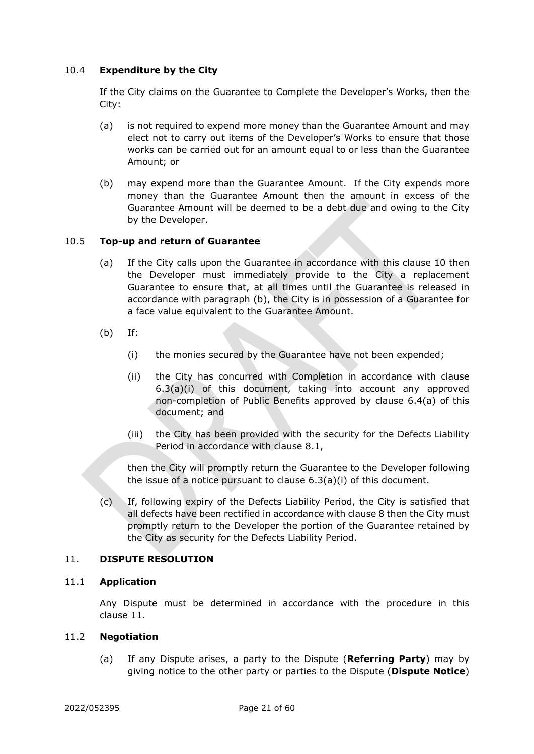# <span id="page-23-0"></span>10.4 **Expenditure by the City**

If the City claims on the Guarantee to Complete the Developer's Works, then the City:

- (a) is not required to expend more money than the Guarantee Amount and may elect not to carry out items of the Developer's Works to ensure that those works can be carried out for an amount equal to or less than the Guarantee Amount; or
- (b) may expend more than the Guarantee Amount. If the City expends more money than the Guarantee Amount then the amount in excess of the Guarantee Amount will be deemed to be a debt due and owing to the City by the Developer.

## <span id="page-23-1"></span>10.5 **Top-up and return of Guarantee**

- (a) If the City calls upon the Guarantee in accordance with this clause [10](#page-21-1) then the Developer must immediately provide to the City a replacement Guarantee to ensure that, at all times until the Guarantee is released in accordance with paragraph [\(b\),](#page-23-5) the City is in possession of a Guarantee for a face value equivalent to the Guarantee Amount.
- <span id="page-23-5"></span>(b) If:
	- (i) the monies secured by the Guarantee have not been expended;
	- (ii) the City has concurred with Completion in accordance with clause [6.3\(a\)\(i\)](#page-18-5) of this document, taking into account any approved non-completion of Public Benefits approved by clause [6.4\(a\)](#page-18-2) of this document; and
	- (iii) the City has been provided with the security for the Defects Liability Period in accordance with clause [8.1,](#page-19-2)

then the City will promptly return the Guarantee to the Developer following the issue of a notice pursuant to clause [6.3\(a\)\(i\)](#page-18-5) of this document.

(c) If, following expiry of the Defects Liability Period, the City is satisfied that all defects have been rectified in accordance with clause [8](#page-19-1) then the City must promptly return to the Developer the portion of the Guarantee retained by the City as security for the Defects Liability Period.

#### <span id="page-23-2"></span>11. **DISPUTE RESOLUTION**

#### <span id="page-23-3"></span>11.1 **Application**

Any Dispute must be determined in accordance with the procedure in this clause [11.](#page-23-2)

#### <span id="page-23-4"></span>11.2 **Negotiation**

(a) If any Dispute arises, a party to the Dispute (**Referring Party**) may by giving notice to the other party or parties to the Dispute (**Dispute Notice**)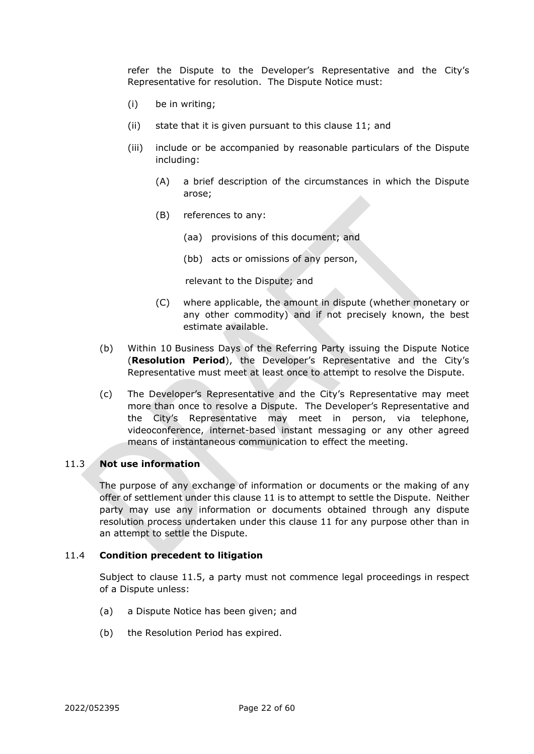refer the Dispute to the Developer's Representative and the City's Representative for resolution. The Dispute Notice must:

- (i) be in writing;
- (ii) state that it is given pursuant to this clause [11;](#page-23-2) and
- (iii) include or be accompanied by reasonable particulars of the Dispute including:
	- (A) a brief description of the circumstances in which the Dispute arose;
	- (B) references to any:
		- (aa) provisions of this document; and
		- (bb) acts or omissions of any person,

relevant to the Dispute; and

- (C) where applicable, the amount in dispute (whether monetary or any other commodity) and if not precisely known, the best estimate available.
- (b) Within 10 Business Days of the Referring Party issuing the Dispute Notice (**Resolution Period**), the Developer's Representative and the City's Representative must meet at least once to attempt to resolve the Dispute.
- (c) The Developer's Representative and the City's Representative may meet more than once to resolve a Dispute. The Developer's Representative and the City's Representative may meet in person, via telephone, videoconference, internet-based instant messaging or any other agreed means of instantaneous communication to effect the meeting.

#### <span id="page-24-0"></span>11.3 **Not use information**

The purpose of any exchange of information or documents or the making of any offer of settlement under this clause [11](#page-23-2) is to attempt to settle the Dispute. Neither party may use any information or documents obtained through any dispute resolution process undertaken under this clause [11](#page-23-2) for any purpose other than in an attempt to settle the Dispute.

#### <span id="page-24-1"></span>11.4 **Condition precedent to litigation**

Subject to clause [11.5,](#page-25-0) a party must not commence legal proceedings in respect of a Dispute unless:

- (a) a Dispute Notice has been given; and
- (b) the Resolution Period has expired.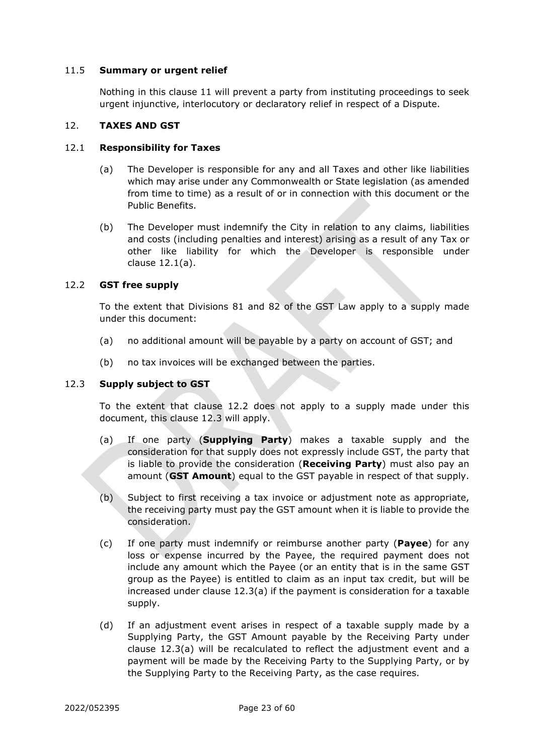#### <span id="page-25-0"></span>11.5 **Summary or urgent relief**

Nothing in this clause [11](#page-23-2) will prevent a party from instituting proceedings to seek urgent injunctive, interlocutory or declaratory relief in respect of a Dispute.

# <span id="page-25-1"></span>12. **TAXES AND GST**

#### <span id="page-25-5"></span><span id="page-25-2"></span>12.1 **Responsibility for Taxes**

- (a) The Developer is responsible for any and all Taxes and other like liabilities which may arise under any Commonwealth or State legislation (as amended from time to time) as a result of or in connection with this document or the Public Benefits.
- (b) The Developer must indemnify the City in relation to any claims, liabilities and costs (including penalties and interest) arising as a result of any Tax or other like liability for which the Developer is responsible under clause [12.1\(a\).](#page-25-5)

## <span id="page-25-3"></span>12.2 **GST free supply**

To the extent that Divisions 81 and 82 of the GST Law apply to a supply made under this document:

- (a) no additional amount will be payable by a party on account of GST; and
- (b) no tax invoices will be exchanged between the parties.

#### <span id="page-25-4"></span>12.3 **Supply subject to GST**

To the extent that clause [12.2](#page-25-3) does not apply to a supply made under this document, this clause [12.3](#page-25-4) will apply.

- <span id="page-25-6"></span>(a) If one party (**Supplying Party**) makes a taxable supply and the consideration for that supply does not expressly include GST, the party that is liable to provide the consideration (**Receiving Party**) must also pay an amount (**GST Amount**) equal to the GST payable in respect of that supply.
- (b) Subject to first receiving a tax invoice or adjustment note as appropriate, the receiving party must pay the GST amount when it is liable to provide the consideration.
- (c) If one party must indemnify or reimburse another party (**Payee**) for any loss or expense incurred by the Payee, the required payment does not include any amount which the Payee (or an entity that is in the same GST group as the Payee) is entitled to claim as an input tax credit, but will be increased under clause [12.3\(a\)](#page-25-6) if the payment is consideration for a taxable supply.
- (d) If an adjustment event arises in respect of a taxable supply made by a Supplying Party, the GST Amount payable by the Receiving Party under clause [12.3\(a\)](#page-25-6) will be recalculated to reflect the adjustment event and a payment will be made by the Receiving Party to the Supplying Party, or by the Supplying Party to the Receiving Party, as the case requires.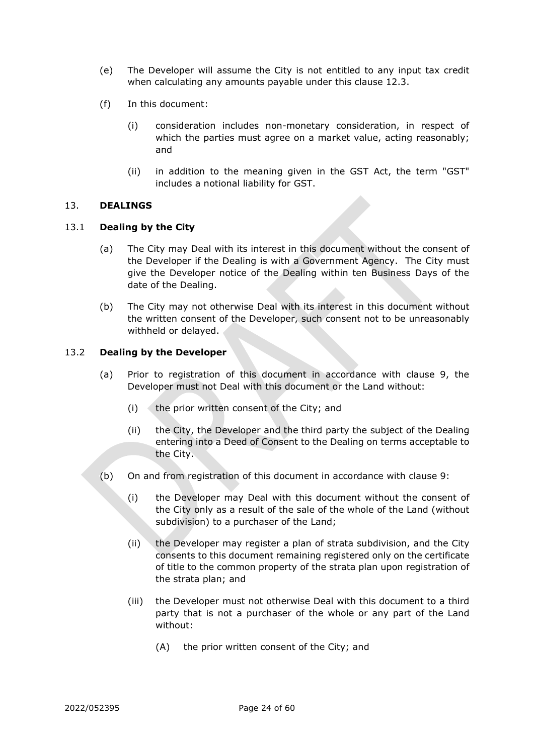- (e) The Developer will assume the City is not entitled to any input tax credit when calculating any amounts payable under this clause [12.3.](#page-25-4)
- (f) In this document:
	- (i) consideration includes non-monetary consideration, in respect of which the parties must agree on a market value, acting reasonably; and
	- (ii) in addition to the meaning given in the GST Act, the term "GST" includes a notional liability for GST.

# <span id="page-26-0"></span>13. **DEALINGS**

## <span id="page-26-1"></span>13.1 **Dealing by the City**

- (a) The City may Deal with its interest in this document without the consent of the Developer if the Dealing is with a Government Agency. The City must give the Developer notice of the Dealing within ten Business Days of the date of the Dealing.
- (b) The City may not otherwise Deal with its interest in this document without the written consent of the Developer, such consent not to be unreasonably withheld or delayed.

## <span id="page-26-2"></span>13.2 **Dealing by the Developer**

- (a) Prior to registration of this document in accordance with clause [9,](#page-20-0) the Developer must not Deal with this document or the Land without:
	- $(i)$  the prior written consent of the City; and
	- (ii) the City, the Developer and the third party the subject of the Dealing entering into a Deed of Consent to the Dealing on terms acceptable to the City.
- (b) On and from registration of this document in accordance with clause [9:](#page-20-0)
	- (i) the Developer may Deal with this document without the consent of the City only as a result of the sale of the whole of the Land (without subdivision) to a purchaser of the Land;
	- (ii) the Developer may register a plan of strata subdivision, and the City consents to this document remaining registered only on the certificate of title to the common property of the strata plan upon registration of the strata plan; and
	- (iii) the Developer must not otherwise Deal with this document to a third party that is not a purchaser of the whole or any part of the Land without:
		- (A) the prior written consent of the City; and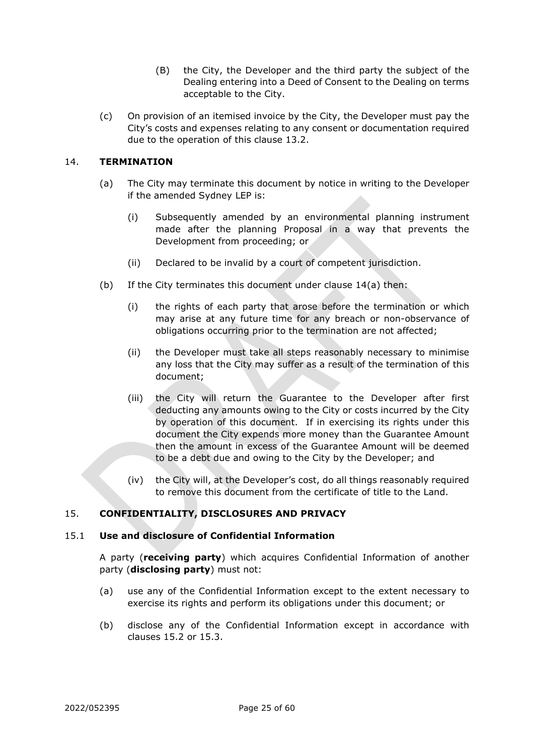- (B) the City, the Developer and the third party the subject of the Dealing entering into a Deed of Consent to the Dealing on terms acceptable to the City.
- (c) On provision of an itemised invoice by the City, the Developer must pay the City's costs and expenses relating to any consent or documentation required due to the operation of this clause [13.2.](#page-26-2)

# <span id="page-27-0"></span>14. **TERMINATION**

- (a) The City may terminate this document by notice in writing to the Developer if the amended Sydney LEP is:
	- (i) Subsequently amended by an environmental planning instrument made after the planning Proposal in a way that prevents the Development from proceeding; or
	- (ii) Declared to be invalid by a court of competent jurisdiction.
- (b) If the City terminates this document under clause 14(a) then:
	- (i) the rights of each party that arose before the termination or which may arise at any future time for any breach or non-observance of obligations occurring prior to the termination are not affected;
	- (ii) the Developer must take all steps reasonably necessary to minimise any loss that the City may suffer as a result of the termination of this document;
	- (iii) the City will return the Guarantee to the Developer after first deducting any amounts owing to the City or costs incurred by the City by operation of this document. If in exercising its rights under this document the City expends more money than the Guarantee Amount then the amount in excess of the Guarantee Amount will be deemed to be a debt due and owing to the City by the Developer; and
	- (iv) the City will, at the Developer's cost, do all things reasonably required to remove this document from the certificate of title to the Land.

# <span id="page-27-1"></span>15. **CONFIDENTIALITY, DISCLOSURES AND PRIVACY**

# <span id="page-27-2"></span>15.1 **Use and disclosure of Confidential Information**

A party (**receiving party**) which acquires Confidential Information of another party (**disclosing party**) must not:

- (a) use any of the Confidential Information except to the extent necessary to exercise its rights and perform its obligations under this document; or
- (b) disclose any of the Confidential Information except in accordance with clauses [15.2](#page-28-0) or [15.3.](#page-28-1)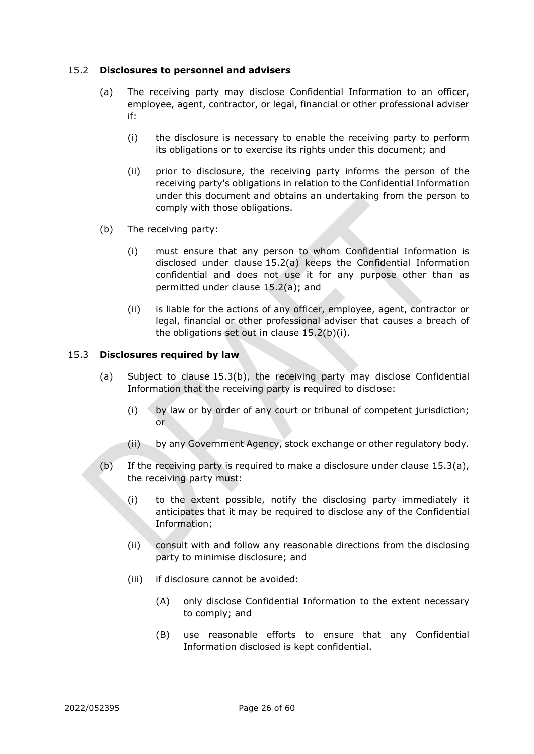## <span id="page-28-2"></span><span id="page-28-0"></span>15.2 **Disclosures to personnel and advisers**

- (a) The receiving party may disclose Confidential Information to an officer, employee, agent, contractor, or legal, financial or other professional adviser if:
	- (i) the disclosure is necessary to enable the receiving party to perform its obligations or to exercise its rights under this document; and
	- (ii) prior to disclosure, the receiving party informs the person of the receiving party's obligations in relation to the Confidential Information under this document and obtains an undertaking from the person to comply with those obligations.
- <span id="page-28-3"></span>(b) The receiving party:
	- (i) must ensure that any person to whom Confidential Information is disclosed under clause [15.2\(a\)](#page-28-2) keeps the Confidential Information confidential and does not use it for any purpose other than as permitted under clause [15.2\(a\);](#page-28-2) and
	- (ii) is liable for the actions of any officer, employee, agent, contractor or legal, financial or other professional adviser that causes a breach of the obligations set out in clause [15.2\(b\)\(i\).](#page-28-3)

#### <span id="page-28-5"></span><span id="page-28-1"></span>15.3 **Disclosures required by law**

- (a) Subject to clause [15.3](#page-28-1)[\(b\),](#page-28-4) the receiving party may disclose Confidential Information that the receiving party is required to disclose:
	- (i) by law or by order of any court or tribunal of competent jurisdiction; or
	- (ii) by any Government Agency, stock exchange or other regulatory body.
- <span id="page-28-4"></span>(b) If the receiving party is required to make a disclosure under clause [15.3\(a\),](#page-28-5) the receiving party must:
	- (i) to the extent possible, notify the disclosing party immediately it anticipates that it may be required to disclose any of the Confidential Information;
	- (ii) consult with and follow any reasonable directions from the disclosing party to minimise disclosure; and
	- (iii) if disclosure cannot be avoided:
		- (A) only disclose Confidential Information to the extent necessary to comply; and
		- (B) use reasonable efforts to ensure that any Confidential Information disclosed is kept confidential.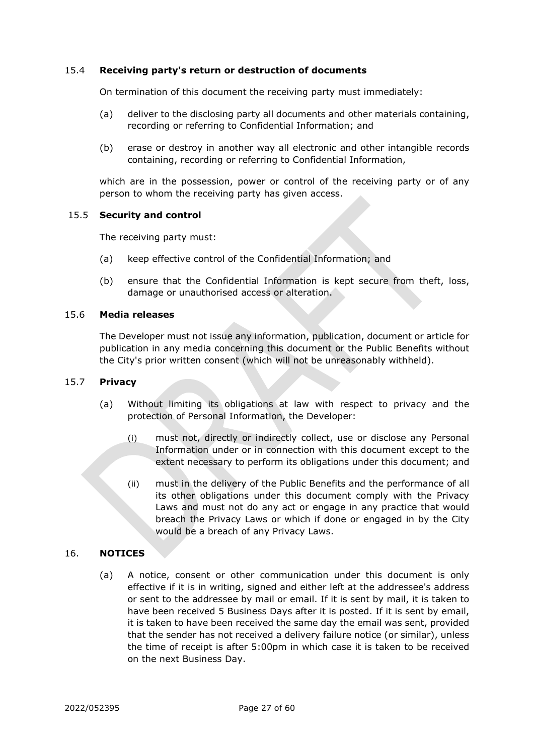#### <span id="page-29-0"></span>15.4 **Receiving party's return or destruction of documents**

On termination of this document the receiving party must immediately:

- (a) deliver to the disclosing party all documents and other materials containing, recording or referring to Confidential Information; and
- (b) erase or destroy in another way all electronic and other intangible records containing, recording or referring to Confidential Information,

which are in the possession, power or control of the receiving party or of any person to whom the receiving party has given access.

#### <span id="page-29-1"></span>15.5 **Security and control**

The receiving party must:

- (a) keep effective control of the Confidential Information; and
- (b) ensure that the Confidential Information is kept secure from theft, loss, damage or unauthorised access or alteration.

#### <span id="page-29-2"></span>15.6 **Media releases**

The Developer must not issue any information, publication, document or article for publication in any media concerning this document or the Public Benefits without the City's prior written consent (which will not be unreasonably withheld).

#### <span id="page-29-3"></span>15.7 **Privacy**

- (a) Without limiting its obligations at law with respect to privacy and the protection of Personal Information, the Developer:
	- (i) must not, directly or indirectly collect, use or disclose any Personal Information under or in connection with this document except to the extent necessary to perform its obligations under this document; and
	- (ii) must in the delivery of the Public Benefits and the performance of all its other obligations under this document comply with the Privacy Laws and must not do any act or engage in any practice that would breach the Privacy Laws or which if done or engaged in by the City would be a breach of any Privacy Laws.

#### <span id="page-29-4"></span>16. **NOTICES**

(a) A notice, consent or other communication under this document is only effective if it is in writing, signed and either left at the addressee's address or sent to the addressee by mail or email. If it is sent by mail, it is taken to have been received 5 Business Days after it is posted. If it is sent by email, it is taken to have been received the same day the email was sent, provided that the sender has not received a delivery failure notice (or similar), unless the time of receipt is after 5:00pm in which case it is taken to be received on the next Business Day.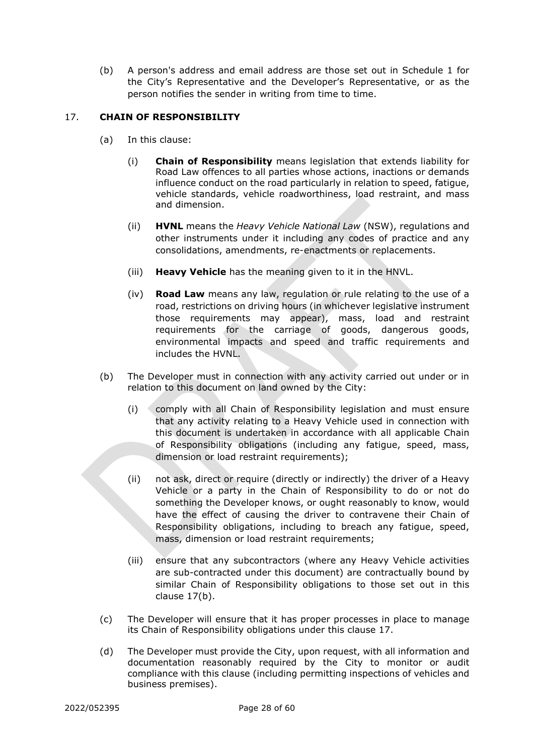(b) A person's address and email address are those set out in [Schedule 1](#page-37-1) for the City's Representative and the Developer's Representative, or as the person notifies the sender in writing from time to time.

# <span id="page-30-0"></span>17. **CHAIN OF RESPONSIBILITY**

- (a) In this clause:
	- (i) **Chain of Responsibility** means legislation that extends liability for Road Law offences to all parties whose actions, inactions or demands influence conduct on the road particularly in relation to speed, fatigue, vehicle standards, vehicle roadworthiness, load restraint, and mass and dimension.
	- (ii) **HVNL** means the *Heavy Vehicle National Law* (NSW), regulations and other instruments under it including any codes of practice and any consolidations, amendments, re-enactments or replacements.
	- (iii) **Heavy Vehicle** has the meaning given to it in the HNVL.
	- (iv) **Road Law** means any law, regulation or rule relating to the use of a road, restrictions on driving hours (in whichever legislative instrument those requirements may appear), mass, load and restraint requirements for the carriage of goods, dangerous goods, environmental impacts and speed and traffic requirements and includes the HVNL.
- <span id="page-30-1"></span>(b) The Developer must in connection with any activity carried out under or in relation to this document on land owned by the City:
	- (i) comply with all Chain of Responsibility legislation and must ensure that any activity relating to a Heavy Vehicle used in connection with this document is undertaken in accordance with all applicable Chain of Responsibility obligations (including any fatigue, speed, mass, dimension or load restraint requirements);
	- (ii) not ask, direct or require (directly or indirectly) the driver of a Heavy Vehicle or a party in the Chain of Responsibility to do or not do something the Developer knows, or ought reasonably to know, would have the effect of causing the driver to contravene their Chain of Responsibility obligations, including to breach any fatigue, speed, mass, dimension or load restraint requirements;
	- (iii) ensure that any subcontractors (where any Heavy Vehicle activities are sub-contracted under this document) are contractually bound by similar Chain of Responsibility obligations to those set out in this clause [17\(b\).](#page-30-1)
- (c) The Developer will ensure that it has proper processes in place to manage its Chain of Responsibility obligations under this clause 17.
- (d) The Developer must provide the City, upon request, with all information and documentation reasonably required by the City to monitor or audit compliance with this clause (including permitting inspections of vehicles and business premises).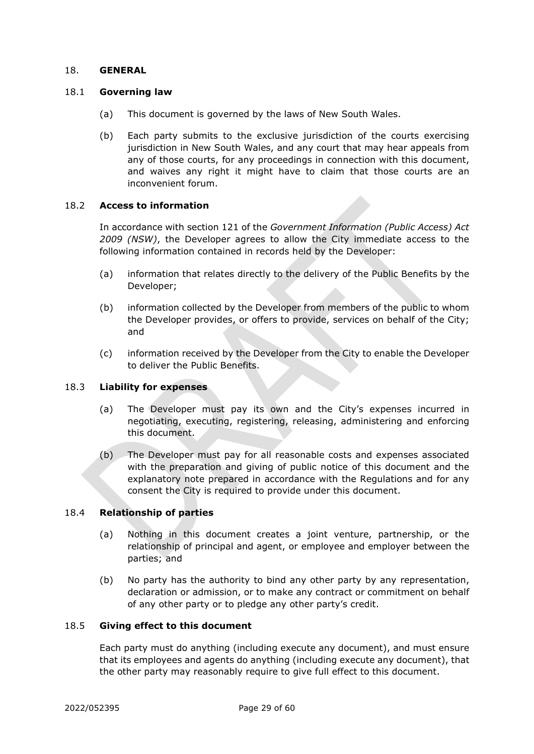#### <span id="page-31-0"></span>18. **GENERAL**

#### <span id="page-31-1"></span>18.1 **Governing law**

- (a) This document is governed by the laws of New South Wales.
- (b) Each party submits to the exclusive jurisdiction of the courts exercising jurisdiction in New South Wales, and any court that may hear appeals from any of those courts, for any proceedings in connection with this document, and waives any right it might have to claim that those courts are an inconvenient forum.

#### <span id="page-31-2"></span>18.2 **Access to information**

In accordance with section 121 of the *Government Information (Public Access) Act 2009 (NSW)*, the Developer agrees to allow the City immediate access to the following information contained in records held by the Developer:

- (a) information that relates directly to the delivery of the Public Benefits by the Developer;
- (b) information collected by the Developer from members of the public to whom the Developer provides, or offers to provide, services on behalf of the City; and
- (c) information received by the Developer from the City to enable the Developer to deliver the Public Benefits.

#### <span id="page-31-3"></span>18.3 **Liability for expenses**

- (a) The Developer must pay its own and the City's expenses incurred in negotiating, executing, registering, releasing, administering and enforcing this document.
- (b) The Developer must pay for all reasonable costs and expenses associated with the preparation and giving of public notice of this document and the explanatory note prepared in accordance with the Regulations and for any consent the City is required to provide under this document.

#### <span id="page-31-4"></span>18.4 **Relationship of parties**

- (a) Nothing in this document creates a joint venture, partnership, or the relationship of principal and agent, or employee and employer between the parties; and
- (b) No party has the authority to bind any other party by any representation, declaration or admission, or to make any contract or commitment on behalf of any other party or to pledge any other party's credit.

#### <span id="page-31-5"></span>18.5 **Giving effect to this document**

Each party must do anything (including execute any document), and must ensure that its employees and agents do anything (including execute any document), that the other party may reasonably require to give full effect to this document.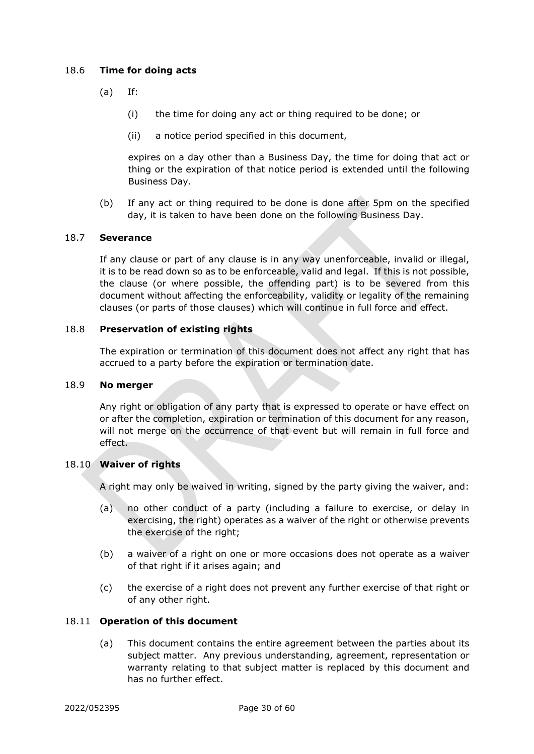# <span id="page-32-0"></span>18.6 **Time for doing acts**

- (a) If:
	- (i) the time for doing any act or thing required to be done; or
	- (ii) a notice period specified in this document,

expires on a day other than a Business Day, the time for doing that act or thing or the expiration of that notice period is extended until the following Business Day.

(b) If any act or thing required to be done is done after 5pm on the specified day, it is taken to have been done on the following Business Day.

#### <span id="page-32-1"></span>18.7 **Severance**

If any clause or part of any clause is in any way unenforceable, invalid or illegal, it is to be read down so as to be enforceable, valid and legal. If this is not possible, the clause (or where possible, the offending part) is to be severed from this document without affecting the enforceability, validity or legality of the remaining clauses (or parts of those clauses) which will continue in full force and effect.

#### <span id="page-32-2"></span>18.8 **Preservation of existing rights**

The expiration or termination of this document does not affect any right that has accrued to a party before the expiration or termination date.

#### <span id="page-32-3"></span>18.9 **No merger**

Any right or obligation of any party that is expressed to operate or have effect on or after the completion, expiration or termination of this document for any reason, will not merge on the occurrence of that event but will remain in full force and effect.

#### <span id="page-32-4"></span>18.10 **Waiver of rights**

A right may only be waived in writing, signed by the party giving the waiver, and:

- (a) no other conduct of a party (including a failure to exercise, or delay in exercising, the right) operates as a waiver of the right or otherwise prevents the exercise of the right;
- (b) a waiver of a right on one or more occasions does not operate as a waiver of that right if it arises again; and
- (c) the exercise of a right does not prevent any further exercise of that right or of any other right.

#### <span id="page-32-5"></span>18.11 **Operation of this document**

(a) This document contains the entire agreement between the parties about its subject matter. Any previous understanding, agreement, representation or warranty relating to that subject matter is replaced by this document and has no further effect.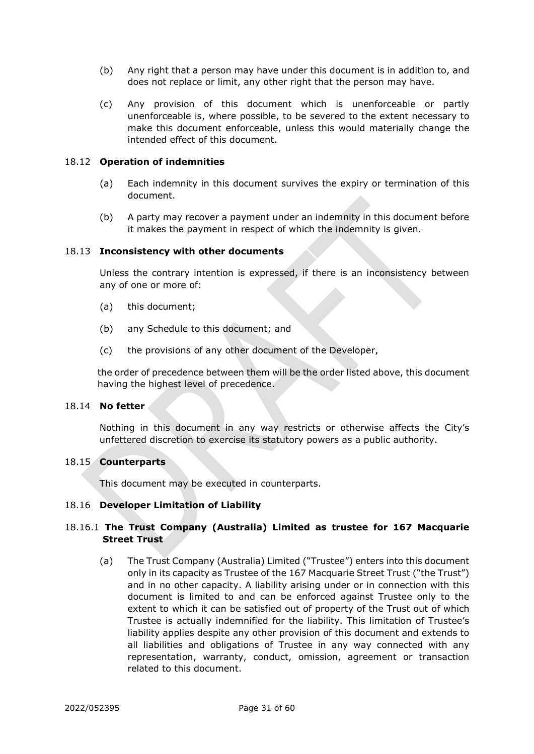- (b) Any right that a person may have under this document is in addition to, and does not replace or limit, any other right that the person may have.
- (c) Any provision of this document which is unenforceable or partly unenforceable is, where possible, to be severed to the extent necessary to make this document enforceable, unless this would materially change the intended effect of this document.

#### <span id="page-33-0"></span>18.12 **Operation of indemnities**

- (a) Each indemnity in this document survives the expiry or termination of this document.
- (b) A party may recover a payment under an indemnity in this document before it makes the payment in respect of which the indemnity is given.

#### <span id="page-33-1"></span>18.13 **Inconsistency with other documents**

Unless the contrary intention is expressed, if there is an inconsistency between any of one or more of:

- (a) this document;
- (b) any Schedule to this document; and
- (c) the provisions of any other document of the Developer,

the order of precedence between them will be the order listed above, this document having the highest level of precedence.

# <span id="page-33-2"></span>18.14 **No fetter**

Nothing in this document in any way restricts or otherwise affects the City's unfettered discretion to exercise its statutory powers as a public authority.

#### <span id="page-33-3"></span>18.15 **Counterparts**

This document may be executed in counterparts.

#### <span id="page-33-4"></span>18.16 **Developer Limitation of Liability**

## 18.16.1 **The Trust Company (Australia) Limited as trustee for 167 Macquarie Street Trust**

(a) The Trust Company (Australia) Limited ("Trustee") enters into this document only in its capacity as Trustee of the 167 Macquarie Street Trust ("the Trust") and in no other capacity. A liability arising under or in connection with this document is limited to and can be enforced against Trustee only to the extent to which it can be satisfied out of property of the Trust out of which Trustee is actually indemnified for the liability. This limitation of Trustee's liability applies despite any other provision of this document and extends to all liabilities and obligations of Trustee in any way connected with any representation, warranty, conduct, omission, agreement or transaction related to this document.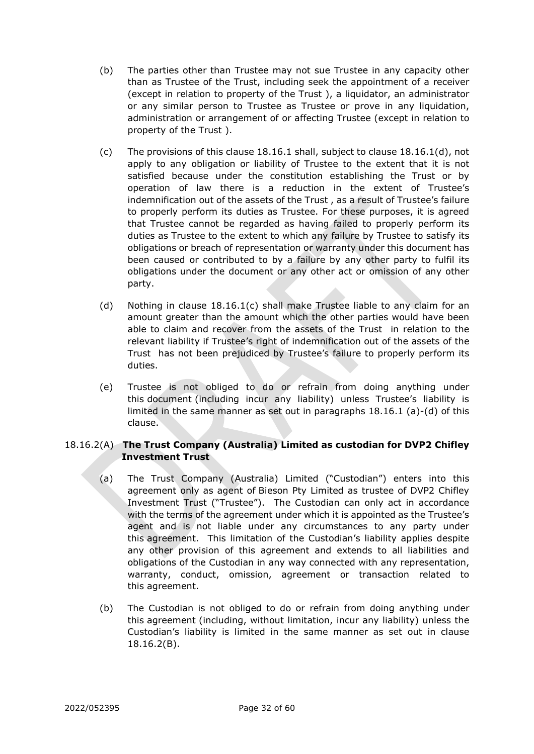- (b) The parties other than Trustee may not sue Trustee in any capacity other than as Trustee of the Trust, including seek the appointment of a receiver (except in relation to property of the Trust ), a liquidator, an administrator or any similar person to Trustee as Trustee or prove in any liquidation, administration or arrangement of or affecting Trustee (except in relation to property of the Trust ).
- (c) The provisions of this clause 18.16.1 shall, subject to clause 18.16.1(d), not apply to any obligation or liability of Trustee to the extent that it is not satisfied because under the constitution establishing the Trust or by operation of law there is a reduction in the extent of Trustee's indemnification out of the assets of the Trust , as a result of Trustee's failure to properly perform its duties as Trustee. For these purposes, it is agreed that Trustee cannot be regarded as having failed to properly perform its duties as Trustee to the extent to which any failure by Trustee to satisfy its obligations or breach of representation or warranty under this document has been caused or contributed to by a failure by any other party to fulfil its obligations under the document or any other act or omission of any other party.
- (d) Nothing in clause 18.16.1(c) shall make Trustee liable to any claim for an amount greater than the amount which the other parties would have been able to claim and recover from the assets of the Trust in relation to the relevant liability if Trustee's right of indemnification out of the assets of the Trust has not been prejudiced by Trustee's failure to properly perform its duties.
- (e) Trustee is not obliged to do or refrain from doing anything under this document (including incur any liability) unless Trustee's liability is limited in the same manner as set out in paragraphs 18.16.1 (a)-(d) of this clause.

# 18.16.2(A) **The Trust Company (Australia) Limited as custodian for DVP2 Chifley Investment Trust**

- (a) The Trust Company (Australia) Limited ("Custodian") enters into this agreement only as agent of Bieson Pty Limited as trustee of DVP2 Chifley Investment Trust ("Trustee"). The Custodian can only act in accordance with the terms of the agreement under which it is appointed as the Trustee's agent and is not liable under any circumstances to any party under this agreement. This limitation of the Custodian's liability applies despite any other provision of this agreement and extends to all liabilities and obligations of the Custodian in any way connected with any representation, warranty, conduct, omission, agreement or transaction related to this agreement.
- (b) The Custodian is not obliged to do or refrain from doing anything under this agreement (including, without limitation, incur any liability) unless the Custodian's liability is limited in the same manner as set out in clause 18.16.2(B).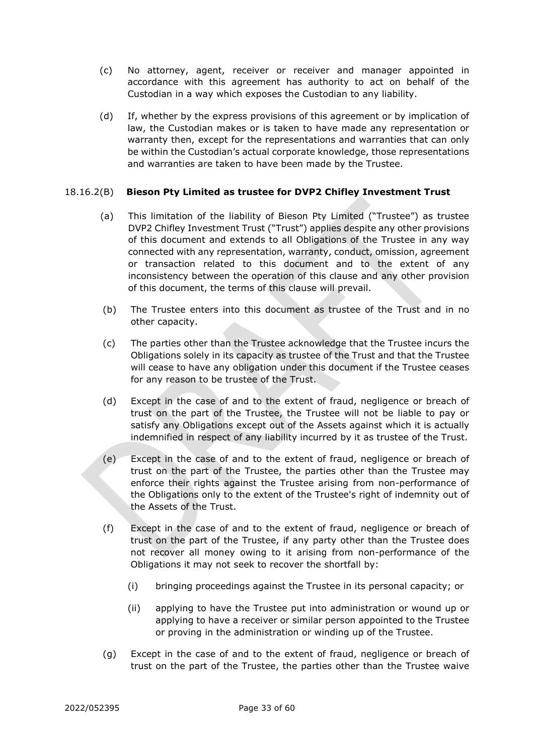- (c) No attorney, agent, receiver or receiver and manager appointed in accordance with this agreement has authority to act on behalf of the Custodian in a way which exposes the Custodian to any liability.
- (d) If, whether by the express provisions of this agreement or by implication of law, the Custodian makes or is taken to have made any representation or warranty then, except for the representations and warranties that can only be within the Custodian's actual corporate knowledge, those representations and warranties are taken to have been made by the Trustee.

# 18.16.2(B) **Bieson Pty Limited as trustee for DVP2 Chifley Investment Trust**

- (a) This limitation of the liability of Bieson Pty Limited ("Trustee") as trustee DVP2 Chifley Investment Trust ("Trust") applies despite any other provisions of this document and extends to all Obligations of the Trustee in any way connected with any representation, warranty, conduct, omission, agreement or transaction related to this document and to the extent of any inconsistency between the operation of this clause and any other provision of this document, the terms of this clause will prevail.
- (b) The Trustee enters into this document as trustee of the Trust and in no other capacity.
- (c) The parties other than the Trustee acknowledge that the Trustee incurs the Obligations solely in its capacity as trustee of the Trust and that the Trustee will cease to have any obligation under this document if the Trustee ceases for any reason to be trustee of the Trust.
- (d) Except in the case of and to the extent of fraud, negligence or breach of trust on the part of the Trustee, the Trustee will not be liable to pay or satisfy any Obligations except out of the Assets against which it is actually indemnified in respect of any liability incurred by it as trustee of the Trust.
- (e) Except in the case of and to the extent of fraud, negligence or breach of trust on the part of the Trustee, the parties other than the Trustee may enforce their rights against the Trustee arising from non-performance of the Obligations only to the extent of the Trustee's right of indemnity out of the Assets of the Trust.
- (f) Except in the case of and to the extent of fraud, negligence or breach of trust on the part of the Trustee, if any party other than the Trustee does not recover all money owing to it arising from non-performance of the Obligations it may not seek to recover the shortfall by:
	- (i) bringing proceedings against the Trustee in its personal capacity; or
	- (ii) applying to have the Trustee put into administration or wound up or applying to have a receiver or similar person appointed to the Trustee or proving in the administration or winding up of the Trustee.
- (g) Except in the case of and to the extent of fraud, negligence or breach of trust on the part of the Trustee, the parties other than the Trustee waive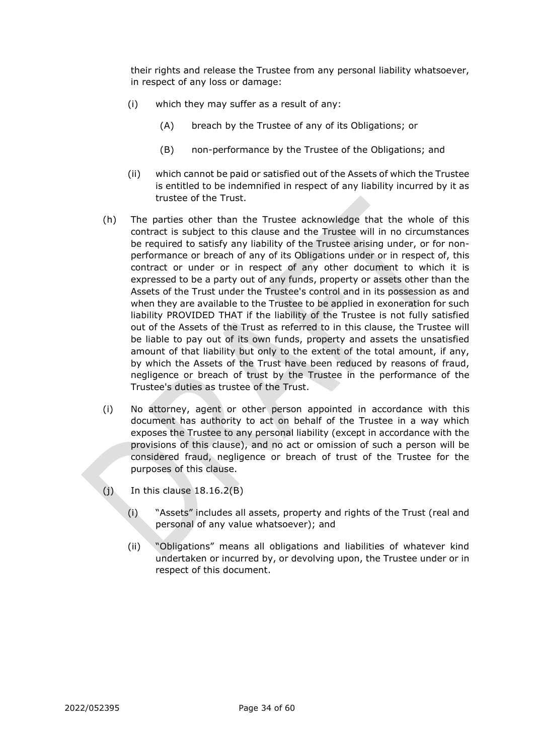their rights and release the Trustee from any personal liability whatsoever, in respect of any loss or damage:

- (i) which they may suffer as a result of any:
	- (A) breach by the Trustee of any of its Obligations; or
	- (B) non-performance by the Trustee of the Obligations; and
- (ii) which cannot be paid or satisfied out of the Assets of which the Trustee is entitled to be indemnified in respect of any liability incurred by it as trustee of the Trust.
- (h) The parties other than the Trustee acknowledge that the whole of this contract is subject to this clause and the Trustee will in no circumstances be required to satisfy any liability of the Trustee arising under, or for nonperformance or breach of any of its Obligations under or in respect of, this contract or under or in respect of any other document to which it is expressed to be a party out of any funds, property or assets other than the Assets of the Trust under the Trustee's control and in its possession as and when they are available to the Trustee to be applied in exoneration for such liability PROVIDED THAT if the liability of the Trustee is not fully satisfied out of the Assets of the Trust as referred to in this clause, the Trustee will be liable to pay out of its own funds, property and assets the unsatisfied amount of that liability but only to the extent of the total amount, if any, by which the Assets of the Trust have been reduced by reasons of fraud, negligence or breach of trust by the Trustee in the performance of the Trustee's duties as trustee of the Trust.
- (i) No attorney, agent or other person appointed in accordance with this document has authority to act on behalf of the Trustee in a way which exposes the Trustee to any personal liability (except in accordance with the provisions of this clause), and no act or omission of such a person will be considered fraud, negligence or breach of trust of the Trustee for the purposes of this clause.
- $(j)$  In this clause 18.16.2 $(B)$ 
	- (i) "Assets" includes all assets, property and rights of the Trust (real and personal of any value whatsoever); and
	- (ii) "Obligations" means all obligations and liabilities of whatever kind undertaken or incurred by, or devolving upon, the Trustee under or in respect of this document.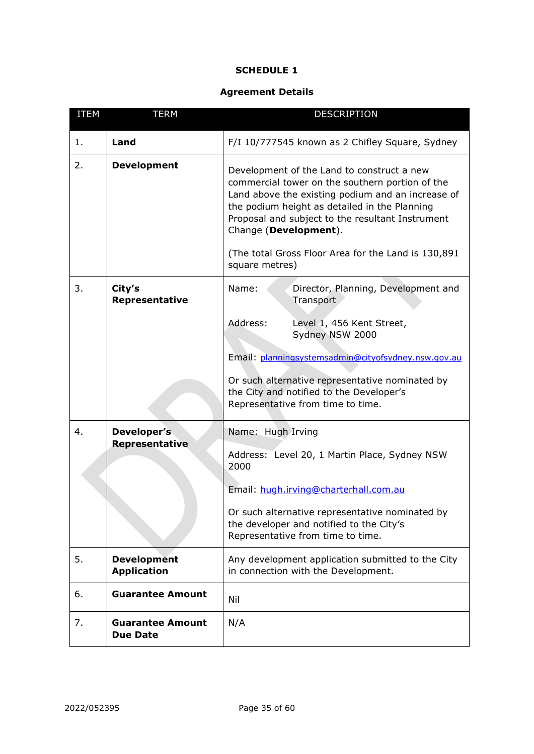#### **SCHEDULE 1**

# **Agreement Details**

<span id="page-37-1"></span><span id="page-37-0"></span>

| <b>ITEM</b> | <b>TERM</b>                                | <b>DESCRIPTION</b>                                                                                                                                                                                                                                                                                                                      |  |
|-------------|--------------------------------------------|-----------------------------------------------------------------------------------------------------------------------------------------------------------------------------------------------------------------------------------------------------------------------------------------------------------------------------------------|--|
| 1.          | Land                                       | F/I 10/777545 known as 2 Chifley Square, Sydney                                                                                                                                                                                                                                                                                         |  |
| 2.          | <b>Development</b>                         | Development of the Land to construct a new<br>commercial tower on the southern portion of the<br>Land above the existing podium and an increase of<br>the podium height as detailed in the Planning<br>Proposal and subject to the resultant Instrument<br>Change (Development).<br>(The total Gross Floor Area for the Land is 130,891 |  |
|             |                                            | square metres)                                                                                                                                                                                                                                                                                                                          |  |
| 3.          | City's<br>Representative                   | Director, Planning, Development and<br>Name:<br>Transport                                                                                                                                                                                                                                                                               |  |
|             |                                            | Address:<br>Level 1, 456 Kent Street,<br>Sydney NSW 2000<br>Email: planningsystemsadmin@cityofsydney.nsw.gov.au                                                                                                                                                                                                                         |  |
|             |                                            | Or such alternative representative nominated by<br>the City and notified to the Developer's<br>Representative from time to time.                                                                                                                                                                                                        |  |
| 4.          | Developer's                                | Name: Hugh Irving                                                                                                                                                                                                                                                                                                                       |  |
|             | Representative                             | Address: Level 20, 1 Martin Place, Sydney NSW<br>2000                                                                                                                                                                                                                                                                                   |  |
|             |                                            | Email: hugh.irving@charterhall.com.au                                                                                                                                                                                                                                                                                                   |  |
|             |                                            | Or such alternative representative nominated by<br>the developer and notified to the City's<br>Representative from time to time.                                                                                                                                                                                                        |  |
| 5.          | <b>Development</b><br><b>Application</b>   | Any development application submitted to the City<br>in connection with the Development.                                                                                                                                                                                                                                                |  |
| 6.          | <b>Guarantee Amount</b>                    | Nil                                                                                                                                                                                                                                                                                                                                     |  |
| 7.          | <b>Guarantee Amount</b><br><b>Due Date</b> | N/A                                                                                                                                                                                                                                                                                                                                     |  |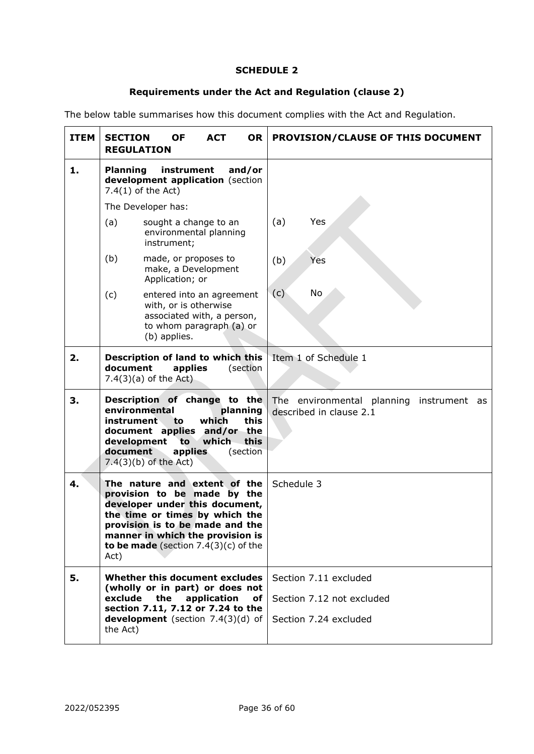# **SCHEDULE 2**

# **Requirements under the Act and Regulation (clause [2\)](#page-13-0)**

<span id="page-38-2"></span><span id="page-38-0"></span>The below table summarises how this document complies with the Act and Regulation.

<span id="page-38-1"></span>

| <b>ITEM</b> | <b>SECTION</b><br><b>OF</b><br><b>ACT</b><br><b>OR</b><br><b>REGULATION</b>                                                                                                                                                                              | PROVISION/CLAUSE OF THIS DOCUMENT                                           |  |
|-------------|----------------------------------------------------------------------------------------------------------------------------------------------------------------------------------------------------------------------------------------------------------|-----------------------------------------------------------------------------|--|
| 1.          | instrument<br>and/or<br><b>Planning</b><br>development application (section<br>$7.4(1)$ of the Act)                                                                                                                                                      |                                                                             |  |
|             | The Developer has:                                                                                                                                                                                                                                       |                                                                             |  |
|             | (a)<br>sought a change to an<br>environmental planning<br>instrument;                                                                                                                                                                                    | Yes<br>(a)                                                                  |  |
|             | (b)<br>made, or proposes to<br>make, a Development<br>Application; or                                                                                                                                                                                    | (b)<br>Yes                                                                  |  |
|             | (c)<br>entered into an agreement<br>with, or is otherwise<br>associated with, a person,<br>to whom paragraph (a) or<br>(b) applies.                                                                                                                      | No<br>(c)                                                                   |  |
| 2.          | Description of land to which this<br>document<br>applies<br>(section<br>$7.4(3)(a)$ of the Act)                                                                                                                                                          | Item 1 of Schedule 1                                                        |  |
| 3.          | Description of change to the<br>environmental<br>planning<br>which<br>this<br>instrument<br>to<br>document applies and/or the<br>this<br>development to<br>which<br>document<br>applies<br>(section<br>$7.4(3)(b)$ of the Act)                           | The environmental planning instrument as<br>described in clause 2.1         |  |
| 4.          | The nature and extent of the<br>provision to be made by the<br>developer under this document,<br>the time or times by which the<br>provision is to be made and the<br>manner in which the provision is<br>to be made (section $7.4(3)(c)$ of the<br>Act) | Schedule 3                                                                  |  |
| 5.          | Whether this document excludes<br>(wholly or in part) or does not<br>exclude the<br>application<br>оf<br>section 7.11, 7.12 or 7.24 to the<br>development (section 7.4(3)(d) of<br>the Act)                                                              | Section 7.11 excluded<br>Section 7.12 not excluded<br>Section 7.24 excluded |  |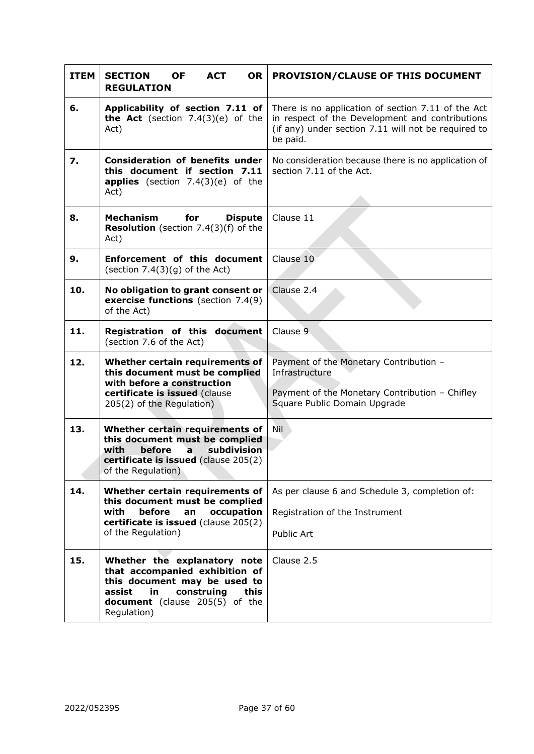<span id="page-39-0"></span>

| <b>ITEM</b> | <b>SECTION</b><br><b>ACT</b><br><b>OR</b><br><b>OF</b><br><b>REGULATION</b>                                                                                                                  | <b>PROVISION/CLAUSE OF THIS DOCUMENT</b>                                                                                                                                 |  |  |
|-------------|----------------------------------------------------------------------------------------------------------------------------------------------------------------------------------------------|--------------------------------------------------------------------------------------------------------------------------------------------------------------------------|--|--|
| 6.          | Applicability of section 7.11 of<br><b>the Act</b> (section $7.4(3)(e)$ of the<br>Act)                                                                                                       | There is no application of section 7.11 of the Act<br>in respect of the Development and contributions<br>(if any) under section 7.11 will not be required to<br>be paid. |  |  |
| 7.          | <b>Consideration of benefits under</b><br>this document if section 7.11<br><b>applies</b> (section $7.4(3)(e)$ of the<br>Act)                                                                | No consideration because there is no application of<br>section 7.11 of the Act.                                                                                          |  |  |
| 8.          | <b>Mechanism</b><br>for<br><b>Dispute</b><br>Resolution (section 7.4(3)(f) of the<br>Act)                                                                                                    | Clause 11                                                                                                                                                                |  |  |
| 9.          | <b>Enforcement of this document</b><br>(section $7.4(3)(g)$ of the Act)                                                                                                                      | Clause 10                                                                                                                                                                |  |  |
| 10.         | No obligation to grant consent or<br>exercise functions (section 7.4(9)<br>of the Act)                                                                                                       | Clause 2.4                                                                                                                                                               |  |  |
| 11.         | Registration of this document<br>(section 7.6 of the Act)                                                                                                                                    | Clause 9                                                                                                                                                                 |  |  |
| 12.         | Whether certain requirements of<br>this document must be complied<br>with before a construction<br>certificate is issued (clause<br>205(2) of the Regulation)                                | Payment of the Monetary Contribution -<br>Infrastructure<br>Payment of the Monetary Contribution - Chifley<br>Square Public Domain Upgrade                               |  |  |
| 13.         | Whether certain requirements of<br>this document must be complied<br>with<br>before<br>subdivision<br>$\overline{a}$<br>certificate is issued (clause 205(2)<br>of the Regulation)           | Nil                                                                                                                                                                      |  |  |
| 14.         | Whether certain requirements of<br>this document must be complied<br>before<br>with<br>occupation<br>an<br>certificate is issued (clause 205(2)<br>of the Regulation)                        | As per clause 6 and Schedule 3, completion of:<br>Registration of the Instrument<br>Public Art                                                                           |  |  |
| 15.         | Whether the explanatory note<br>that accompanied exhibition of<br>this document may be used to<br>assist<br>construing<br>this<br>in<br><b>document</b> (clause 205(5) of the<br>Regulation) | Clause 2.5                                                                                                                                                               |  |  |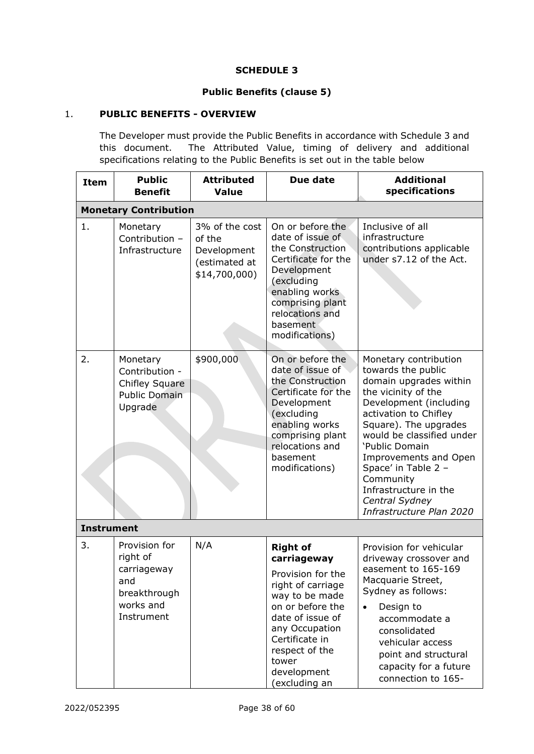# **SCHEDULE 3**

# **Public Benefits (clause 5)**

# <span id="page-40-2"></span><span id="page-40-1"></span><span id="page-40-0"></span>1. **PUBLIC BENEFITS - OVERVIEW**

The Developer must provide the Public Benefits in accordance with [Schedule 3](#page-40-2) and this document. The Attributed Value, timing of delivery and additional specifications relating to the Public Benefits is set out in the table below

| <b>Item</b>       | <b>Public</b><br><b>Benefit</b>                                                            | <b>Attributed</b><br><b>Value</b>                                         | Due date                                                                                                                                                                                                                          | <b>Additional</b><br>specifications                                                                                                                                                                                                                                                                                                                         |
|-------------------|--------------------------------------------------------------------------------------------|---------------------------------------------------------------------------|-----------------------------------------------------------------------------------------------------------------------------------------------------------------------------------------------------------------------------------|-------------------------------------------------------------------------------------------------------------------------------------------------------------------------------------------------------------------------------------------------------------------------------------------------------------------------------------------------------------|
|                   | <b>Monetary Contribution</b>                                                               |                                                                           |                                                                                                                                                                                                                                   |                                                                                                                                                                                                                                                                                                                                                             |
| 1.                | Monetary<br>Contribution -<br>Infrastructure                                               | 3% of the cost<br>of the<br>Development<br>(estimated at<br>\$14,700,000) | On or before the<br>date of issue of<br>the Construction<br>Certificate for the<br>Development<br>(excluding<br>enabling works<br>comprising plant<br>relocations and<br>basement<br>modifications)                               | Inclusive of all<br>infrastructure<br>contributions applicable<br>under s7.12 of the Act.                                                                                                                                                                                                                                                                   |
| 2.                | Monetary<br>Contribution -<br><b>Chifley Square</b><br><b>Public Domain</b><br>Upgrade     | \$900,000                                                                 | On or before the<br>date of issue of<br>the Construction<br>Certificate for the<br>Development<br>(excluding<br>enabling works<br>comprising plant<br>relocations and<br>basement<br>modifications)                               | Monetary contribution<br>towards the public<br>domain upgrades within<br>the vicinity of the<br>Development (including<br>activation to Chifley<br>Square). The upgrades<br>would be classified under<br>'Public Domain<br>Improvements and Open<br>Space' in Table 2 -<br>Community<br>Infrastructure in the<br>Central Sydney<br>Infrastructure Plan 2020 |
| <b>Instrument</b> |                                                                                            |                                                                           |                                                                                                                                                                                                                                   |                                                                                                                                                                                                                                                                                                                                                             |
| 3.                | Provision for<br>right of<br>carriageway<br>and<br>breakthrough<br>works and<br>Instrument | N/A                                                                       | <b>Right of</b><br>carriageway<br>Provision for the<br>right of carriage<br>way to be made<br>on or before the<br>date of issue of<br>any Occupation<br>Certificate in<br>respect of the<br>tower<br>development<br>(excluding an | Provision for vehicular<br>driveway crossover and<br>easement to 165-169<br>Macquarie Street,<br>Sydney as follows:<br>Design to<br>accommodate a<br>consolidated<br>vehicular access<br>point and structural<br>capacity for a future<br>connection to 165-                                                                                                |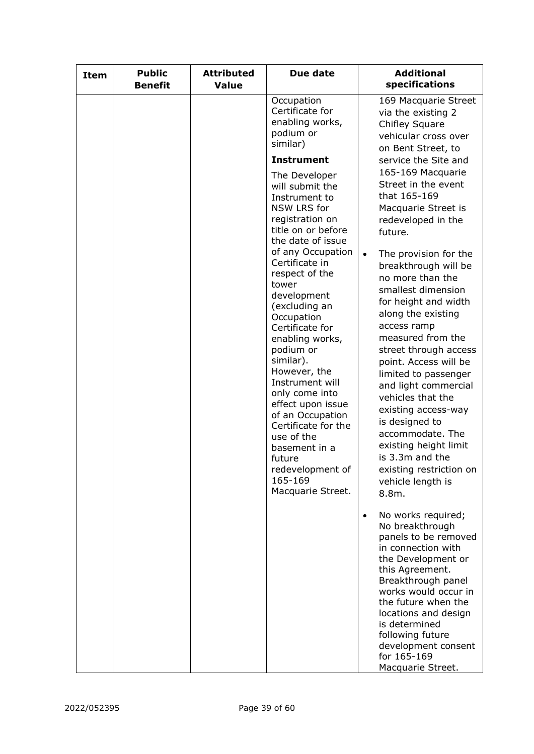| <b>Item</b> | <b>Public</b><br><b>Benefit</b> | <b>Attributed</b><br><b>Value</b> | Due date                                                                                                                                                                                                                                                                                                                                                                                                            | <b>Additional</b><br>specifications                                                                                                                                                                                                                                                                                                                                                                                                                                             |
|-------------|---------------------------------|-----------------------------------|---------------------------------------------------------------------------------------------------------------------------------------------------------------------------------------------------------------------------------------------------------------------------------------------------------------------------------------------------------------------------------------------------------------------|---------------------------------------------------------------------------------------------------------------------------------------------------------------------------------------------------------------------------------------------------------------------------------------------------------------------------------------------------------------------------------------------------------------------------------------------------------------------------------|
|             |                                 |                                   | Occupation<br>Certificate for<br>enabling works,<br>podium or<br>similar)                                                                                                                                                                                                                                                                                                                                           | 169 Macquarie Street<br>via the existing 2<br><b>Chifley Square</b><br>vehicular cross over<br>on Bent Street, to                                                                                                                                                                                                                                                                                                                                                               |
|             |                                 |                                   | <b>Instrument</b>                                                                                                                                                                                                                                                                                                                                                                                                   | service the Site and                                                                                                                                                                                                                                                                                                                                                                                                                                                            |
|             |                                 |                                   | The Developer<br>will submit the<br>Instrument to<br>NSW LRS for<br>registration on<br>title on or before                                                                                                                                                                                                                                                                                                           | 165-169 Macquarie<br>Street in the event<br>that 165-169<br>Macquarie Street is<br>redeveloped in the<br>future.                                                                                                                                                                                                                                                                                                                                                                |
|             |                                 |                                   | the date of issue<br>of any Occupation<br>Certificate in<br>respect of the<br>tower<br>development<br>(excluding an<br>Occupation<br>Certificate for<br>enabling works,<br>podium or<br>similar).<br>However, the<br>Instrument will<br>only come into<br>effect upon issue<br>of an Occupation<br>Certificate for the<br>use of the<br>basement in a<br>future<br>redevelopment of<br>165-169<br>Macquarie Street. | The provision for the<br>$\bullet$<br>breakthrough will be<br>no more than the<br>smallest dimension<br>for height and width<br>along the existing<br>access ramp<br>measured from the<br>street through access<br>point. Access will be<br>limited to passenger<br>and light commercial<br>vehicles that the<br>existing access-way<br>is designed to<br>accommodate. The<br>existing height limit<br>is 3.3m and the<br>existing restriction on<br>vehicle length is<br>8.8m. |
|             |                                 |                                   |                                                                                                                                                                                                                                                                                                                                                                                                                     | No works required;<br>$\bullet$<br>No breakthrough<br>panels to be removed<br>in connection with<br>the Development or<br>this Agreement.<br>Breakthrough panel<br>works would occur in<br>the future when the<br>locations and design<br>is determined<br>following future<br>development consent<br>for 165-169<br>Macquarie Street.                                                                                                                                          |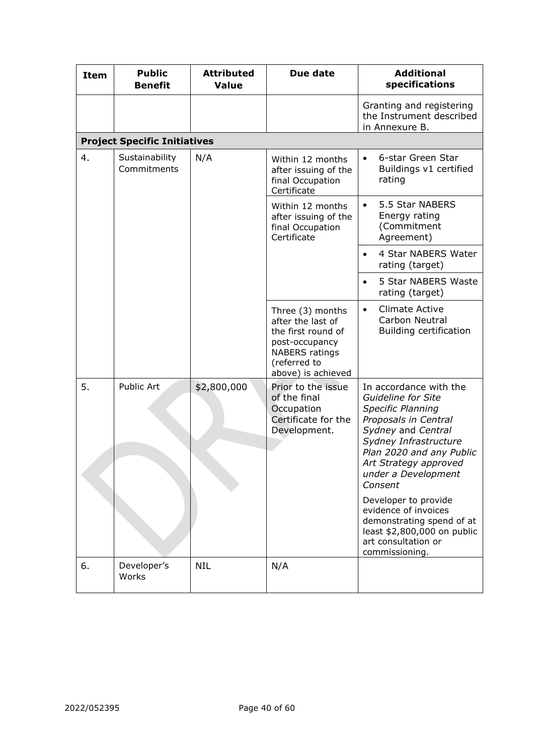| <b>Item</b> | <b>Public</b><br><b>Benefit</b>     | <b>Attributed</b><br><b>Value</b> | Due date                                                                                                                                     | <b>Additional</b><br>specifications                                                                                                                                                                                                                                                                                                                                       |
|-------------|-------------------------------------|-----------------------------------|----------------------------------------------------------------------------------------------------------------------------------------------|---------------------------------------------------------------------------------------------------------------------------------------------------------------------------------------------------------------------------------------------------------------------------------------------------------------------------------------------------------------------------|
|             |                                     |                                   |                                                                                                                                              | Granting and registering<br>the Instrument described<br>in Annexure B.                                                                                                                                                                                                                                                                                                    |
|             | <b>Project Specific Initiatives</b> |                                   |                                                                                                                                              |                                                                                                                                                                                                                                                                                                                                                                           |
| 4.          | Sustainability<br>Commitments       | N/A                               | Within 12 months<br>after issuing of the<br>final Occupation<br>Certificate                                                                  | 6-star Green Star<br>$\bullet$<br>Buildings v1 certified<br>rating                                                                                                                                                                                                                                                                                                        |
|             |                                     |                                   | Within 12 months<br>after issuing of the<br>final Occupation<br>Certificate                                                                  | 5.5 Star NABERS<br>$\bullet$<br>Energy rating<br>(Commitment<br>Agreement)                                                                                                                                                                                                                                                                                                |
|             |                                     |                                   |                                                                                                                                              | 4 Star NABERS Water<br>$\bullet$<br>rating (target)                                                                                                                                                                                                                                                                                                                       |
|             |                                     |                                   |                                                                                                                                              | 5 Star NABERS Waste<br>$\bullet$<br>rating (target)                                                                                                                                                                                                                                                                                                                       |
|             |                                     |                                   | Three (3) months<br>after the last of<br>the first round of<br>post-occupancy<br><b>NABERS</b> ratings<br>(referred to<br>above) is achieved | <b>Climate Active</b><br>$\bullet$<br>Carbon Neutral<br>Building certification                                                                                                                                                                                                                                                                                            |
| 5.          | Public Art                          | \$2,800,000                       | Prior to the issue<br>of the final<br>Occupation<br>Certificate for the<br>Development.                                                      | In accordance with the<br>Guideline for Site<br><b>Specific Planning</b><br>Proposals in Central<br>Sydney and Central<br>Sydney Infrastructure<br>Plan 2020 and any Public<br>Art Strategy approved<br>under a Development<br>Consent<br>Developer to provide<br>evidence of invoices<br>demonstrating spend of at<br>least \$2,800,000 on public<br>art consultation or |
|             |                                     |                                   |                                                                                                                                              | commissioning.                                                                                                                                                                                                                                                                                                                                                            |
| 6.          | Developer's<br>Works                | <b>NIL</b>                        | N/A                                                                                                                                          |                                                                                                                                                                                                                                                                                                                                                                           |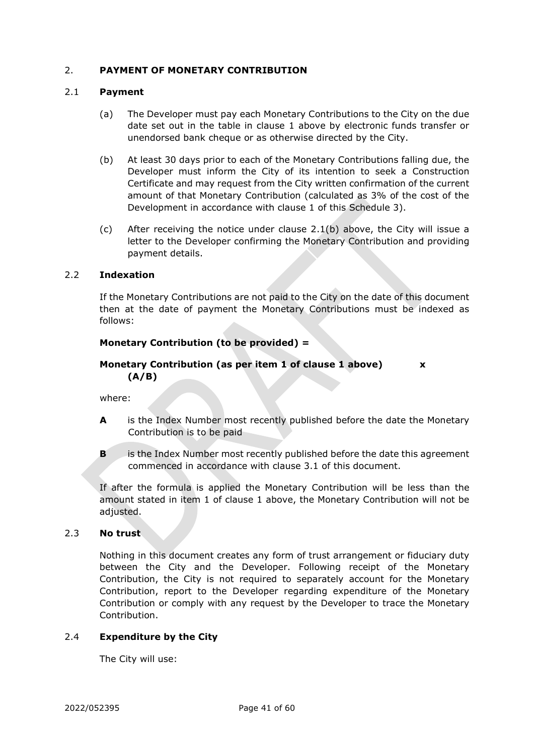#### <span id="page-43-0"></span>2. **PAYMENT OF MONETARY CONTRIBUTION**

#### <span id="page-43-1"></span>2.1 **Payment**

- (a) The Developer must pay each Monetary Contributions to the City on the due date set out in the table in clause 1 above by electronic funds transfer or unendorsed bank cheque or as otherwise directed by the City.
- (b) At least 30 days prior to each of the Monetary Contributions falling due, the Developer must inform the City of its intention to seek a Construction Certificate and may request from the City written confirmation of the current amount of that Monetary Contribution (calculated as 3% of the cost of the Development in accordance with clause 1 of this Schedule 3).
- (c) After receiving the notice under clause 2.1(b) above, the City will issue a letter to the Developer confirming the Monetary Contribution and providing payment details.

#### <span id="page-43-2"></span>2.2 **Indexation**

If the Monetary Contributions are not paid to the City on the date of this document then at the date of payment the Monetary Contributions must be indexed as follows:

## **Monetary Contribution (to be provided) =**

# **Monetary Contribution (as per item 1 of clause 1 above) x (A/B)**

where:

- **A** is the Index Number most recently published before the date the Monetary Contribution is to be paid
- **B** is the Index Number most recently published before the date this agreement commenced in accordance with clause [3.1](#page-14-5) of this document.

If after the formula is applied the Monetary Contribution will be less than the amount stated in item 1 of clause 1 above, the Monetary Contribution will not be adjusted.

#### <span id="page-43-3"></span>2.3 **No trust**

Nothing in this document creates any form of trust arrangement or fiduciary duty between the City and the Developer. Following receipt of the Monetary Contribution, the City is not required to separately account for the Monetary Contribution, report to the Developer regarding expenditure of the Monetary Contribution or comply with any request by the Developer to trace the Monetary Contribution.

#### <span id="page-43-4"></span>2.4 **Expenditure by the City**

The City will use: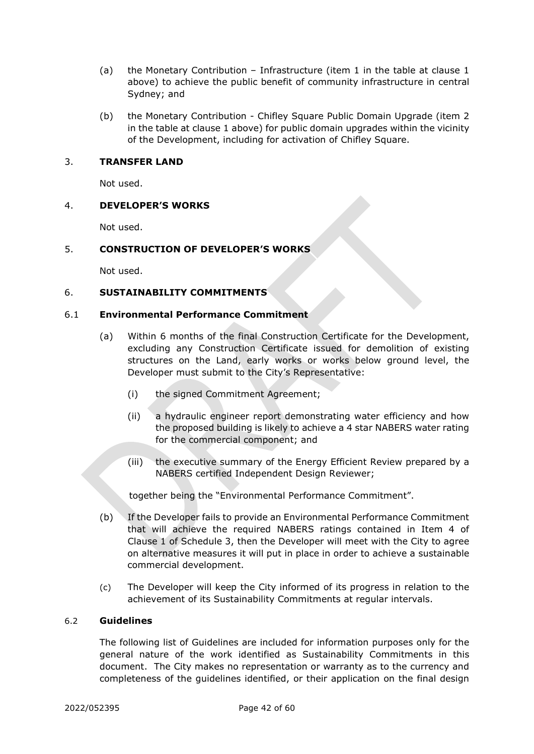- (a) the Monetary Contribution Infrastructure (item 1 in the table at clause 1 above) to achieve the public benefit of community infrastructure in central Sydney; and
- (b) the Monetary Contribution Chifley Square Public Domain Upgrade (item 2 in the table at clause 1 above) for public domain upgrades within the vicinity of the Development, including for activation of Chifley Square.

#### <span id="page-44-0"></span>3. **TRANSFER LAND**

Not used.

## <span id="page-44-1"></span>4. **DEVELOPER'S WORKS**

Not used.

## <span id="page-44-2"></span>5. **CONSTRUCTION OF DEVELOPER'S WORKS**

Not used.

## <span id="page-44-3"></span>6. **SUSTAINABILITY COMMITMENTS**

#### <span id="page-44-4"></span>6.1 **Environmental Performance Commitment**

- (a) Within 6 months of the final Construction Certificate for the Development, excluding any Construction Certificate issued for demolition of existing structures on the Land, early works or works below ground level, the Developer must submit to the City's Representative:
	- (i) the signed Commitment Agreement;
	- (ii) a hydraulic engineer report demonstrating water efficiency and how the proposed building is likely to achieve a 4 star NABERS water rating for the commercial component; and
	- (iii) the executive summary of the Energy Efficient Review prepared by a NABERS certified Independent Design Reviewer;

together being the "Environmental Performance Commitment".

- (b) If the Developer fails to provide an Environmental Performance Commitment that will achieve the required NABERS ratings contained in Item 4 of Clause 1 of [Schedule 3,](#page-40-2) then the Developer will meet with the City to agree on alternative measures it will put in place in order to achieve a sustainable commercial development.
- (c) The Developer will keep the City informed of its progress in relation to the achievement of its Sustainability Commitments at regular intervals.

#### <span id="page-44-5"></span>6.2 **Guidelines**

The following list of Guidelines are included for information purposes only for the general nature of the work identified as Sustainability Commitments in this document. The City makes no representation or warranty as to the currency and completeness of the guidelines identified, or their application on the final design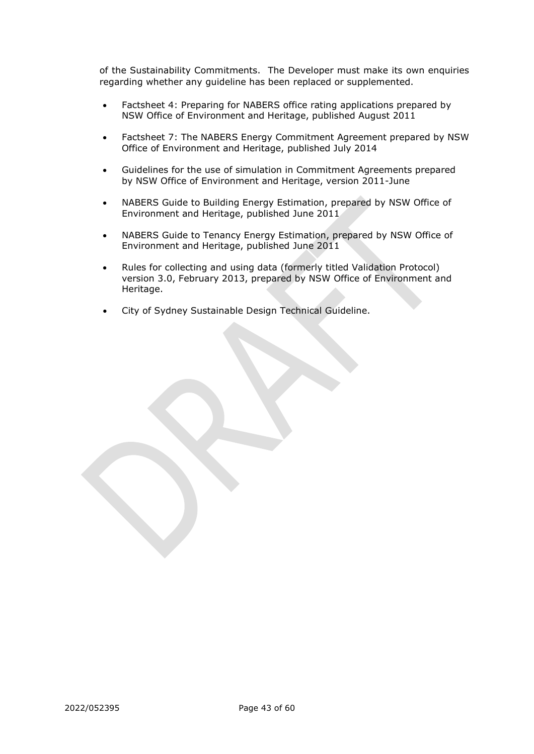of the Sustainability Commitments. The Developer must make its own enquiries regarding whether any guideline has been replaced or supplemented.

- Factsheet 4: Preparing for NABERS office rating applications prepared by NSW Office of Environment and Heritage, published August 2011
- Factsheet 7: The NABERS Energy Commitment Agreement prepared by NSW Office of Environment and Heritage, published July 2014
- Guidelines for the use of simulation in Commitment Agreements prepared by NSW Office of Environment and Heritage, version 2011-June
- NABERS Guide to Building Energy Estimation, prepared by NSW Office of Environment and Heritage, published June 2011
- NABERS Guide to Tenancy Energy Estimation, prepared by NSW Office of Environment and Heritage, published June 2011
- Rules for collecting and using data (formerly titled Validation Protocol) version 3.0, February 2013, prepared by NSW Office of Environment and Heritage.
- City of Sydney Sustainable Design Technical Guideline.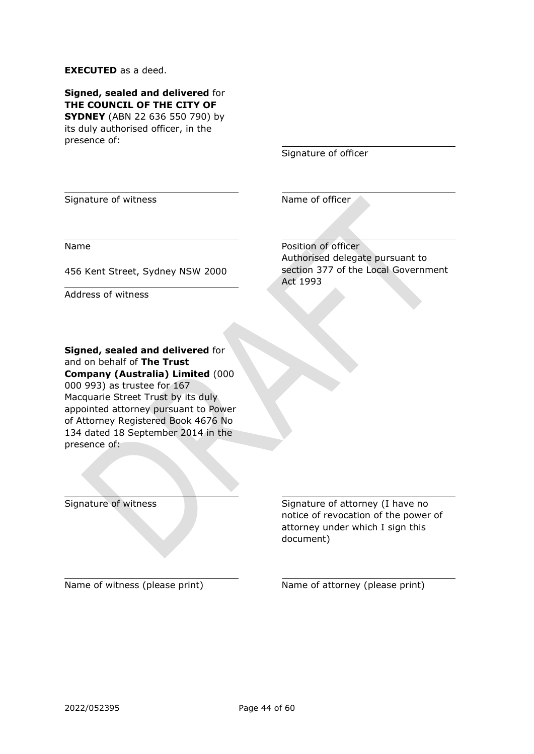#### **EXECUTED** as a deed.

**Signed, sealed and delivered** for **THE COUNCIL OF THE CITY OF SYDNEY** (ABN 22 636 550 790) by its duly authorised officer, in the presence of:

Signature of officer

Signature of witness Name of officer

Name

456 Kent Street, Sydney NSW 2000

Address of witness

Position of officer Authorised delegate pursuant to section 377 of the Local Government Act 1993

**Signed, sealed and delivered** for and on behalf of **The Trust Company (Australia) Limited** (000 000 993) as trustee for 167 Macquarie Street Trust by its duly appointed attorney pursuant to Power of Attorney Registered Book 4676 No 134 dated 18 September 2014 in the presence of:

Signature of witness Signature of attorney (I have no notice of revocation of the power of attorney under which I sign this document)

Name of witness (please print) Name of attorney (please print)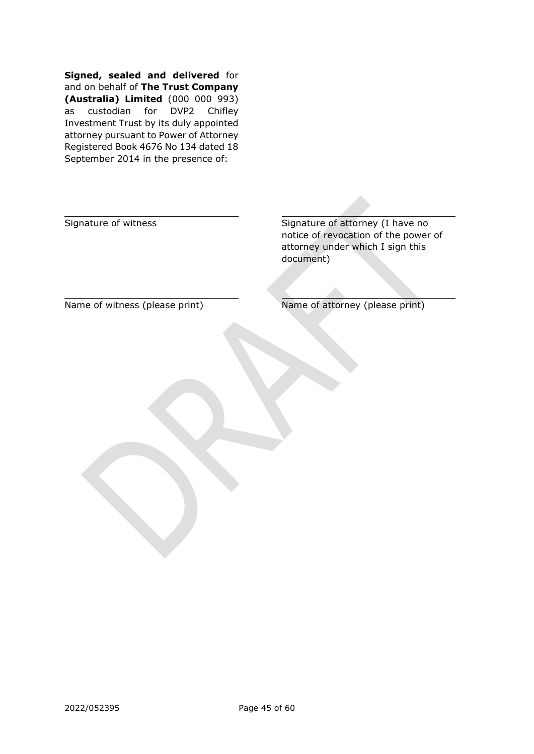**Signed, sealed and delivered** for and on behalf of **The Trust Company (Australia) Limited** (000 000 993) as custodian for DVP2 Chifley Investment Trust by its duly appointed attorney pursuant to Power of Attorney Registered Book 4676 No 134 dated 18 September 2014 in the presence of:

Signature of witness Signature of attorney (I have no notice of revocation of the power of attorney under which I sign this document)

Name of witness (please print) Name of attorney (please print)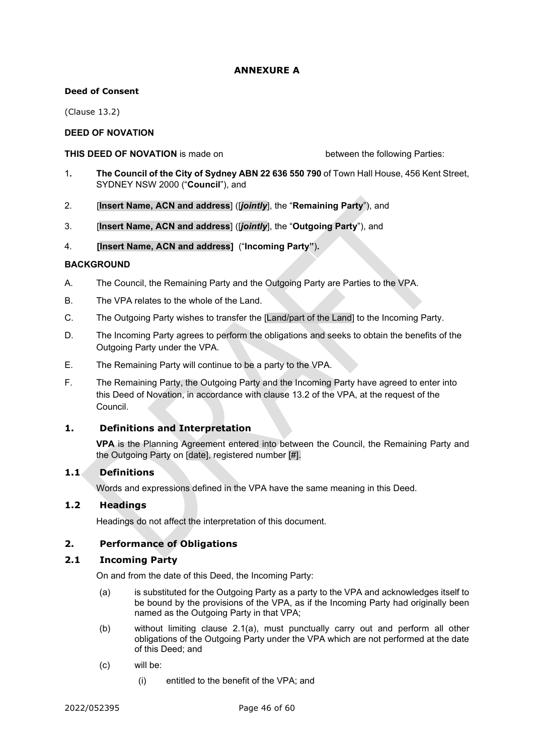# **ANNEXURE A**

#### <span id="page-48-0"></span>**Deed of Consent**

(Clause [13.2\)](#page-26-2)

# **DEED OF NOVATION**

#### **THIS DEED OF NOVATION** is made on between the following Parties:

- 1**. The Council of the City of Sydney ABN 22 636 550 790** of Town Hall House, 456 Kent Street, SYDNEY NSW 2000 ("**Council**"), and
- 2. [**Insert Name, ACN and address**] ([*jointly*], the "**Remaining Party**"), and
- 3. [**Insert Name, ACN and address**] ([*jointly*], the "**Outgoing Party**"), and
- 4. **[Insert Name, ACN and address]** ("**Incoming Party"**)**.**

#### **BACKGROUND**

- A. The Council, the Remaining Party and the Outgoing Party are Parties to the VPA.
- B. The VPA relates to the whole of the Land.
- C. The Outgoing Party wishes to transfer the [Land/part of the Land] to the Incoming Party.
- D. The Incoming Party agrees to perform the obligations and seeks to obtain the benefits of the Outgoing Party under the VPA.
- E. The Remaining Party will continue to be a party to the VPA.
- F. The Remaining Party, the Outgoing Party and the Incoming Party have agreed to enter into this Deed of Novation, in accordance with clause 13.2 of the VPA, at the request of the Council.

#### **1. Definitions and Interpretation**

**VPA** is the Planning Agreement entered into between the Council, the Remaining Party and the Outgoing Party on [date], registered number [#].

#### **1.1 Definitions**

Words and expressions defined in the VPA have the same meaning in this Deed.

#### **1.2 Headings**

Headings do not affect the interpretation of this document.

#### **2. Performance of Obligations**

#### **2.1 Incoming Party**

On and from the date of this Deed, the Incoming Party:

- (a) is substituted for the Outgoing Party as a party to the VPA and acknowledges itself to be bound by the provisions of the VPA, as if the Incoming Party had originally been named as the Outgoing Party in that VPA;
- (b) without limiting clause 2.1(a), must punctually carry out and perform all other obligations of the Outgoing Party under the VPA which are not performed at the date of this Deed; and
- (c) will be:
	- (i) entitled to the benefit of the VPA; and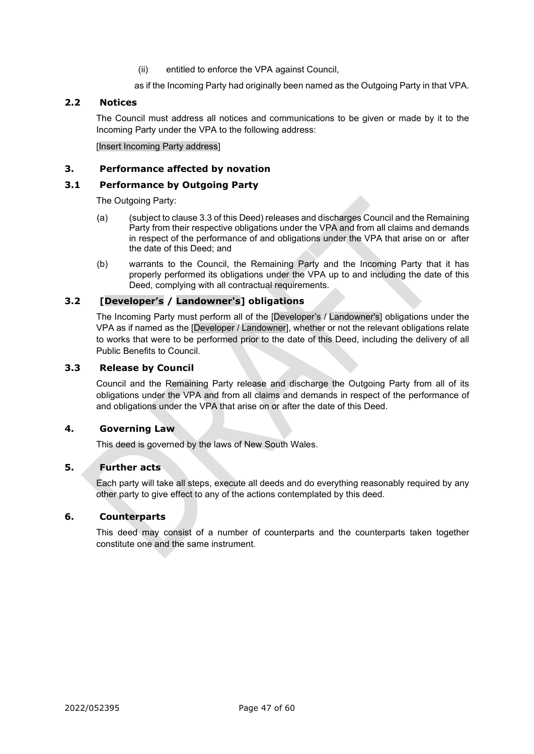(ii) entitled to enforce the VPA against Council,

as if the Incoming Party had originally been named as the Outgoing Party in that VPA.

#### **2.2 Notices**

The Council must address all notices and communications to be given or made by it to the Incoming Party under the VPA to the following address:

[Insert Incoming Party address]

#### **3. Performance affected by novation**

#### **3.1 Performance by Outgoing Party**

The Outgoing Party:

- (a) (subject to clause 3.3 of this Deed) releases and discharges Council and the Remaining Party from their respective obligations under the VPA and from all claims and demands in respect of the performance of and obligations under the VPA that arise on or after the date of this Deed; and
- (b) warrants to the Council, the Remaining Party and the Incoming Party that it has properly performed its obligations under the VPA up to and including the date of this Deed, complying with all contractual requirements.

# **3.2 [Developer's / Landowner's] obligations**

The Incoming Party must perform all of the [Developer's / Landowner's] obligations under the VPA as if named as the [Developer / Landowner], whether or not the relevant obligations relate to works that were to be performed prior to the date of this Deed, including the delivery of all Public Benefits to Council.

# **3.3 Release by Council**

Council and the Remaining Party release and discharge the Outgoing Party from all of its obligations under the VPA and from all claims and demands in respect of the performance of and obligations under the VPA that arise on or after the date of this Deed.

# **4. Governing Law**

This deed is governed by the laws of New South Wales.

# **5. Further acts**

Each party will take all steps, execute all deeds and do everything reasonably required by any other party to give effect to any of the actions contemplated by this deed.

#### **6. Counterparts**

This deed may consist of a number of counterparts and the counterparts taken together constitute one and the same instrument.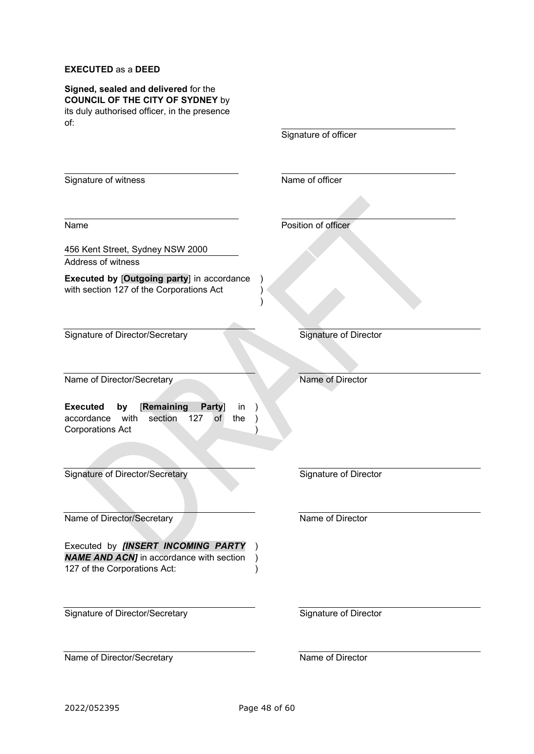# **EXECUTED** as a **DEED**

| Signed, sealed and delivered for the<br><b>COUNCIL OF THE CITY OF SYDNEY by</b><br>its duly authorised officer, in the presence<br>of: |                              |
|----------------------------------------------------------------------------------------------------------------------------------------|------------------------------|
|                                                                                                                                        | Signature of officer         |
| Signature of witness                                                                                                                   | Name of officer              |
| Name                                                                                                                                   | Position of officer          |
| 456 Kent Street, Sydney NSW 2000                                                                                                       |                              |
| Address of witness                                                                                                                     |                              |
| <b>Executed by [Outgoing party] in accordance</b><br>with section 127 of the Corporations Act                                          |                              |
| Signature of Director/Secretary                                                                                                        | Signature of Director        |
| Name of Director/Secretary                                                                                                             | Name of Director             |
| [Remaining<br><b>Executed</b><br>in<br>Party]<br>by<br>section<br>127<br>accordance<br>with<br>of<br>the<br><b>Corporations Act</b>    |                              |
|                                                                                                                                        |                              |
| <b>Signature of Director/Secretary</b>                                                                                                 | <b>Signature of Director</b> |
| Name of Director/Secretary                                                                                                             | Name of Director             |
| Executed by <i>[INSERT INCOMING PARTY</i><br><b>NAME AND ACN]</b> in accordance with section<br>127 of the Corporations Act:           |                              |
| Signature of Director/Secretary                                                                                                        | Signature of Director        |
| Name of Director/Secretary                                                                                                             | Name of Director             |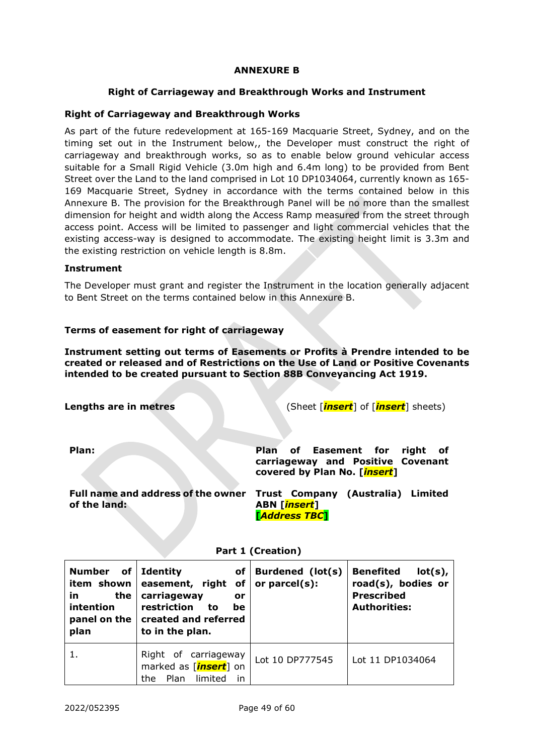#### **ANNEXURE B**

#### **Right of Carriageway and Breakthrough Works and Instrument**

## <span id="page-51-0"></span>**Right of Carriageway and Breakthrough Works**

As part of the future redevelopment at 165-169 Macquarie Street, Sydney, and on the timing set out in the Instrument below,, the Developer must construct the right of carriageway and breakthrough works, so as to enable below ground vehicular access suitable for a Small Rigid Vehicle (3.0m high and 6.4m long) to be provided from Bent Street over the Land to the land comprised in Lot 10 DP1034064, currently known as 165- 169 Macquarie Street, Sydney in accordance with the terms contained below in this [Annexure B.](#page-51-0) The provision for the Breakthrough Panel will be no more than the smallest dimension for height and width along the Access Ramp measured from the street through access point. Access will be limited to passenger and light commercial vehicles that the existing access-way is designed to accommodate. The existing height limit is 3.3m and the existing restriction on vehicle length is 8.8m.

#### **Instrument**

The Developer must grant and register the Instrument in the location generally adjacent to Bent Street on the terms contained below in this [Annexure B.](#page-51-0)

#### **Terms of easement for right of carriageway**

**Instrument setting out terms of Easements or Profits à Prendre intended to be created or released and of Restrictions on the Use of Land or Positive Covenants intended to be created pursuant to Section 88B Conveyancing Act 1919.**

**Lengths are in metres** (Sheet [*insert*] of [*insert*] sheets) **Plan:** Plan of Easement for right of **carriageway and Positive Covenant covered by Plan No. [***insert***] Full name and address of the owner Trust Company (Australia) Limited of the land: ABN [***insert***]** 

**[***Address TBC***]**

| of<br><b>Number</b><br>item shown<br>in.<br>the<br>intention<br>plan | of<br><b>Identity</b><br>easement, right of or parcel(s):<br>carriageway<br>or<br>restriction<br>to<br>be<br>panel on the   created and referred<br>to in the plan. | Burdened (lot(s) | <b>Benefited</b><br>$lot(s)$ ,<br>road(s), bodies or<br><b>Prescribed</b><br><b>Authorities:</b> |
|----------------------------------------------------------------------|---------------------------------------------------------------------------------------------------------------------------------------------------------------------|------------------|--------------------------------------------------------------------------------------------------|
| 1.                                                                   | Right of carriageway<br>marked as [insert] on<br>Plan<br>limited<br>in<br>the                                                                                       | Lot 10 DP777545  | Lot 11 DP1034064                                                                                 |

#### **Part 1 (Creation)**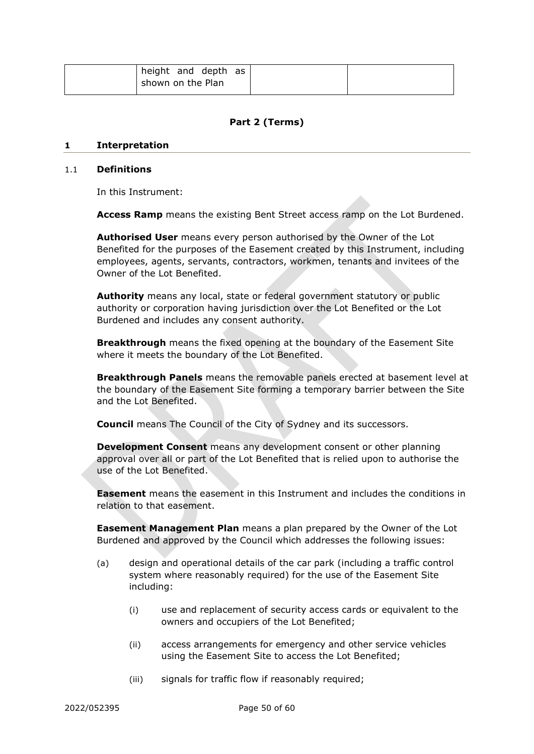| height and depth as |  |
|---------------------|--|
| shown on the Plan   |  |

# **Part 2 (Terms)**

#### **1 Interpretation**

#### 1.1 **Definitions**

In this Instrument:

**Access Ramp** means the existing Bent Street access ramp on the Lot Burdened.

**Authorised User** means every person authorised by the Owner of the Lot Benefited for the purposes of the Easement created by this Instrument, including employees, agents, servants, contractors, workmen, tenants and invitees of the Owner of the Lot Benefited.

**Authority** means any local, state or federal government statutory or public authority or corporation having jurisdiction over the Lot Benefited or the Lot Burdened and includes any consent authority.

**Breakthrough** means the fixed opening at the boundary of the Easement Site where it meets the boundary of the Lot Benefited.

**Breakthrough Panels** means the removable panels erected at basement level at the boundary of the Easement Site forming a temporary barrier between the Site and the Lot Benefited.

**Council** means The Council of the City of Sydney and its successors.

**Development Consent** means any development consent or other planning approval over all or part of the Lot Benefited that is relied upon to authorise the use of the Lot Benefited.

**Easement** means the easement in this Instrument and includes the conditions in relation to that easement.

**Easement Management Plan** means a plan prepared by the Owner of the Lot Burdened and approved by the Council which addresses the following issues:

- (a) design and operational details of the car park (including a traffic control system where reasonably required) for the use of the Easement Site including:
	- (i) use and replacement of security access cards or equivalent to the owners and occupiers of the Lot Benefited;
	- (ii) access arrangements for emergency and other service vehicles using the Easement Site to access the Lot Benefited;
	- (iii) signals for traffic flow if reasonably required;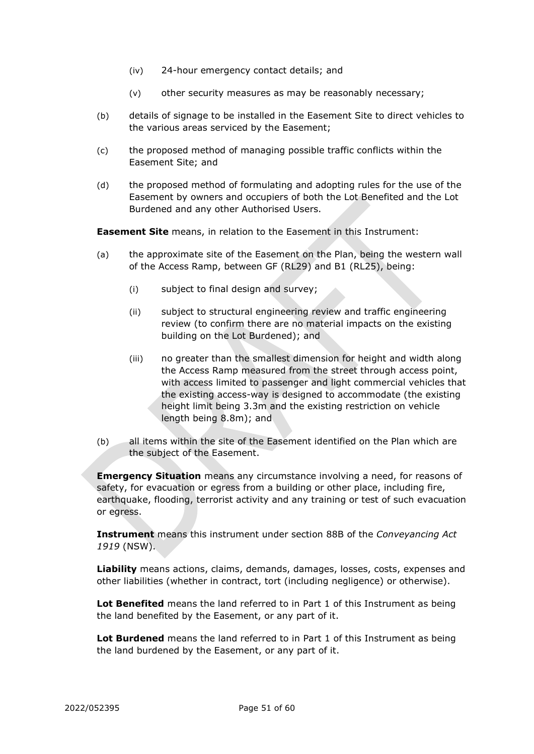- (iv) 24-hour emergency contact details; and
- (v) other security measures as may be reasonably necessary;
- (b) details of signage to be installed in the Easement Site to direct vehicles to the various areas serviced by the Easement;
- (c) the proposed method of managing possible traffic conflicts within the Easement Site; and
- (d) the proposed method of formulating and adopting rules for the use of the Easement by owners and occupiers of both the Lot Benefited and the Lot Burdened and any other Authorised Users.

**Easement Site** means, in relation to the Easement in this Instrument:

- (a) the approximate site of the Easement on the Plan, being the western wall of the Access Ramp, between GF (RL29) and B1 (RL25), being:
	- (i) subject to final design and survey;
	- (ii) subject to structural engineering review and traffic engineering review (to confirm there are no material impacts on the existing building on the Lot Burdened); and
	- (iii) no greater than the smallest dimension for height and width along the Access Ramp measured from the street through access point, with access limited to passenger and light commercial vehicles that the existing access-way is designed to accommodate (the existing height limit being 3.3m and the existing restriction on vehicle length being 8.8m); and
- (b) all items within the site of the Easement identified on the Plan which are the subject of the Easement.

**Emergency Situation** means any circumstance involving a need, for reasons of safety, for evacuation or egress from a building or other place, including fire, earthquake, flooding, terrorist activity and any training or test of such evacuation or egress.

**Instrument** means this instrument under section 88B of the *Conveyancing Act 1919* (NSW).

**Liability** means actions, claims, demands, damages, losses, costs, expenses and other liabilities (whether in contract, tort (including negligence) or otherwise).

**Lot Benefited** means the land referred to in Part 1 of this Instrument as being the land benefited by the Easement, or any part of it.

**Lot Burdened** means the land referred to in Part 1 of this Instrument as being the land burdened by the Easement, or any part of it.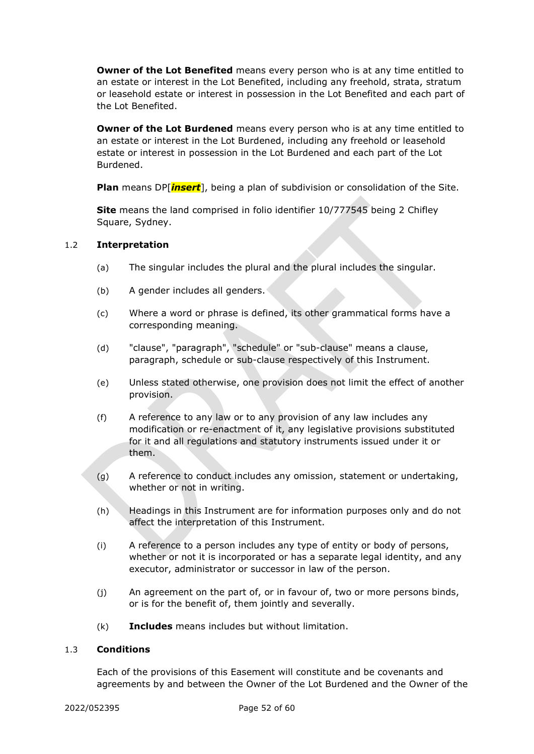**Owner of the Lot Benefited** means every person who is at any time entitled to an estate or interest in the Lot Benefited, including any freehold, strata, stratum or leasehold estate or interest in possession in the Lot Benefited and each part of the Lot Benefited.

**Owner of the Lot Burdened** means every person who is at any time entitled to an estate or interest in the Lot Burdened, including any freehold or leasehold estate or interest in possession in the Lot Burdened and each part of the Lot Burdened.

**Plan** means DP[*insert*], being a plan of subdivision or consolidation of the Site.

**Site** means the land comprised in folio identifier 10/777545 being 2 Chifley Square, Sydney.

#### 1.2 **Interpretation**

- (a) The singular includes the plural and the plural includes the singular.
- (b) A gender includes all genders.
- (c) Where a word or phrase is defined, its other grammatical forms have a corresponding meaning.
- (d) "clause", "paragraph", "schedule" or "sub-clause" means a clause, paragraph, schedule or sub-clause respectively of this Instrument.
- (e) Unless stated otherwise, one provision does not limit the effect of another provision.
- (f) A reference to any law or to any provision of any law includes any modification or re-enactment of it, any legislative provisions substituted for it and all regulations and statutory instruments issued under it or them.
- (g) A reference to conduct includes any omission, statement or undertaking, whether or not in writing.
- (h) Headings in this Instrument are for information purposes only and do not affect the interpretation of this Instrument.
- (i) A reference to a person includes any type of entity or body of persons, whether or not it is incorporated or has a separate legal identity, and any executor, administrator or successor in law of the person.
- (j) An agreement on the part of, or in favour of, two or more persons binds, or is for the benefit of, them jointly and severally.
- (k) **Includes** means includes but without limitation.

#### 1.3 **Conditions**

Each of the provisions of this Easement will constitute and be covenants and agreements by and between the Owner of the Lot Burdened and the Owner of the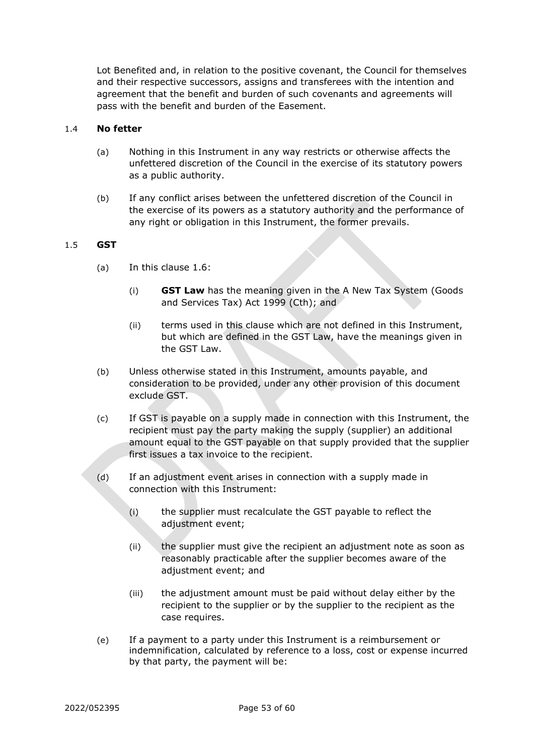Lot Benefited and, in relation to the positive covenant, the Council for themselves and their respective successors, assigns and transferees with the intention and agreement that the benefit and burden of such covenants and agreements will pass with the benefit and burden of the Easement.

#### 1.4 **No fetter**

- (a) Nothing in this Instrument in any way restricts or otherwise affects the unfettered discretion of the Council in the exercise of its statutory powers as a public authority.
- (b) If any conflict arises between the unfettered discretion of the Council in the exercise of its powers as a statutory authority and the performance of any right or obligation in this Instrument, the former prevails.

#### 1.5 **GST**

- (a) In this clause 1.6:
	- (i) **GST Law** has the meaning given in the A New Tax System (Goods and Services Tax) Act 1999 (Cth); and
	- (ii) terms used in this clause which are not defined in this Instrument, but which are defined in the GST Law, have the meanings given in the GST Law.
- (b) Unless otherwise stated in this Instrument, amounts payable, and consideration to be provided, under any other provision of this document exclude GST.
- (c) If GST is payable on a supply made in connection with this Instrument, the recipient must pay the party making the supply (supplier) an additional amount equal to the GST payable on that supply provided that the supplier first issues a tax invoice to the recipient.
- (d) If an adjustment event arises in connection with a supply made in connection with this Instrument:
	- (i) the supplier must recalculate the GST payable to reflect the adjustment event;
	- (ii) the supplier must give the recipient an adjustment note as soon as reasonably practicable after the supplier becomes aware of the adjustment event; and
	- (iii) the adjustment amount must be paid without delay either by the recipient to the supplier or by the supplier to the recipient as the case requires.
- (e) If a payment to a party under this Instrument is a reimbursement or indemnification, calculated by reference to a loss, cost or expense incurred by that party, the payment will be: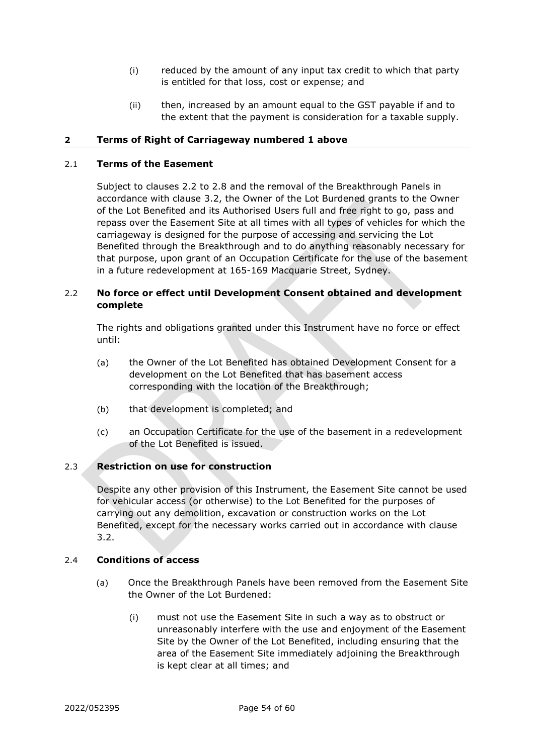- (i) reduced by the amount of any input tax credit to which that party is entitled for that loss, cost or expense; and
- (ii) then, increased by an amount equal to the GST payable if and to the extent that the payment is consideration for a taxable supply.

## **2 Terms of Right of Carriageway numbered 1 above**

## 2.1 **Terms of the Easement**

Subject to clauses [2.2](#page-56-0) to [2.8](#page-58-0) and the removal of the Breakthrough Panels in accordance with clause [3.2,](#page-59-0) the Owner of the Lot Burdened grants to the Owner of the Lot Benefited and its Authorised Users full and free right to go, pass and repass over the Easement Site at all times with all types of vehicles for which the carriageway is designed for the purpose of accessing and servicing the Lot Benefited through the Breakthrough and to do anything reasonably necessary for that purpose, upon grant of an Occupation Certificate for the use of the basement in a future redevelopment at 165-169 Macquarie Street, Sydney.

# <span id="page-56-0"></span>2.2 **No force or effect until Development Consent obtained and development complete**

The rights and obligations granted under this Instrument have no force or effect until:

- (a) the Owner of the Lot Benefited has obtained Development Consent for a development on the Lot Benefited that has basement access corresponding with the location of the Breakthrough;
- (b) that development is completed; and
- (c) an Occupation Certificate for the use of the basement in a redevelopment of the Lot Benefited is issued.

# 2.3 **Restriction on use for construction**

Despite any other provision of this Instrument, the Easement Site cannot be used for vehicular access (or otherwise) to the Lot Benefited for the purposes of carrying out any demolition, excavation or construction works on the Lot Benefited, except for the necessary works carried out in accordance with clause [3.2.](#page-59-0)

#### 2.4 **Conditions of access**

- (a) Once the Breakthrough Panels have been removed from the Easement Site the Owner of the Lot Burdened:
	- (i) must not use the Easement Site in such a way as to obstruct or unreasonably interfere with the use and enjoyment of the Easement Site by the Owner of the Lot Benefited, including ensuring that the area of the Easement Site immediately adjoining the Breakthrough is kept clear at all times; and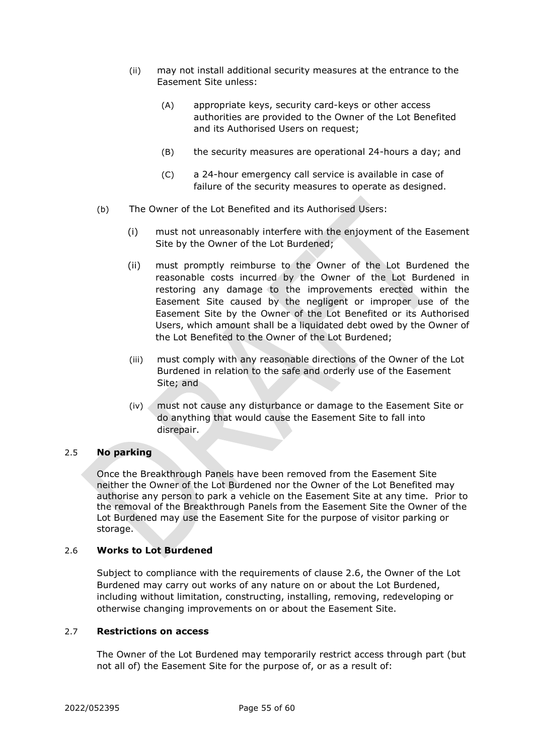- (ii) may not install additional security measures at the entrance to the Easement Site unless:
	- (A) appropriate keys, security card-keys or other access authorities are provided to the Owner of the Lot Benefited and its Authorised Users on request;
	- (B) the security measures are operational 24-hours a day; and
	- (C) a 24-hour emergency call service is available in case of failure of the security measures to operate as designed.
- (b) The Owner of the Lot Benefited and its Authorised Users:
	- (i) must not unreasonably interfere with the enjoyment of the Easement Site by the Owner of the Lot Burdened;
	- (ii) must promptly reimburse to the Owner of the Lot Burdened the reasonable costs incurred by the Owner of the Lot Burdened in restoring any damage to the improvements erected within the Easement Site caused by the negligent or improper use of the Easement Site by the Owner of the Lot Benefited or its Authorised Users, which amount shall be a liquidated debt owed by the Owner of the Lot Benefited to the Owner of the Lot Burdened;
	- (iii) must comply with any reasonable directions of the Owner of the Lot Burdened in relation to the safe and orderly use of the Easement Site; and
	- (iv) must not cause any disturbance or damage to the Easement Site or do anything that would cause the Easement Site to fall into disrepair.

#### 2.5 **No parking**

Once the Breakthrough Panels have been removed from the Easement Site neither the Owner of the Lot Burdened nor the Owner of the Lot Benefited may authorise any person to park a vehicle on the Easement Site at any time. Prior to the removal of the Breakthrough Panels from the Easement Site the Owner of the Lot Burdened may use the Easement Site for the purpose of visitor parking or storage.

#### 2.6 **Works to Lot Burdened**

Subject to compliance with the requirements of clause 2.6, the Owner of the Lot Burdened may carry out works of any nature on or about the Lot Burdened, including without limitation, constructing, installing, removing, redeveloping or otherwise changing improvements on or about the Easement Site.

#### 2.7 **Restrictions on access**

The Owner of the Lot Burdened may temporarily restrict access through part (but not all of) the Easement Site for the purpose of, or as a result of: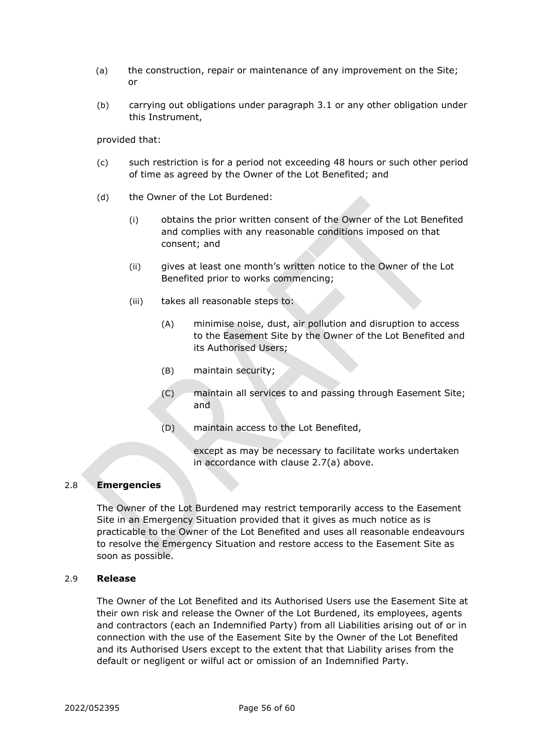- (a) the construction, repair or maintenance of any improvement on the Site; or
- (b) carrying out obligations under paragraph [3.1](#page-59-1) or any other obligation under this Instrument,

provided that:

- (c) such restriction is for a period not exceeding 48 hours or such other period of time as agreed by the Owner of the Lot Benefited; and
- (d) the Owner of the Lot Burdened:
	- (i) obtains the prior written consent of the Owner of the Lot Benefited and complies with any reasonable conditions imposed on that consent; and
	- (ii) gives at least one month's written notice to the Owner of the Lot Benefited prior to works commencing;
	- (iii) takes all reasonable steps to:
		- (A) minimise noise, dust, air pollution and disruption to access to the Easement Site by the Owner of the Lot Benefited and its Authorised Users;
		- (B) maintain security;
		- (C) maintain all services to and passing through Easement Site; and
		- (D) maintain access to the Lot Benefited,

except as may be necessary to facilitate works undertaken in accordance with clause 2.7(a) above.

# <span id="page-58-0"></span>2.8 **Emergencies**

The Owner of the Lot Burdened may restrict temporarily access to the Easement Site in an Emergency Situation provided that it gives as much notice as is practicable to the Owner of the Lot Benefited and uses all reasonable endeavours to resolve the Emergency Situation and restore access to the Easement Site as soon as possible.

#### 2.9 **Release**

The Owner of the Lot Benefited and its Authorised Users use the Easement Site at their own risk and release the Owner of the Lot Burdened, its employees, agents and contractors (each an Indemnified Party) from all Liabilities arising out of or in connection with the use of the Easement Site by the Owner of the Lot Benefited and its Authorised Users except to the extent that that Liability arises from the default or negligent or wilful act or omission of an Indemnified Party.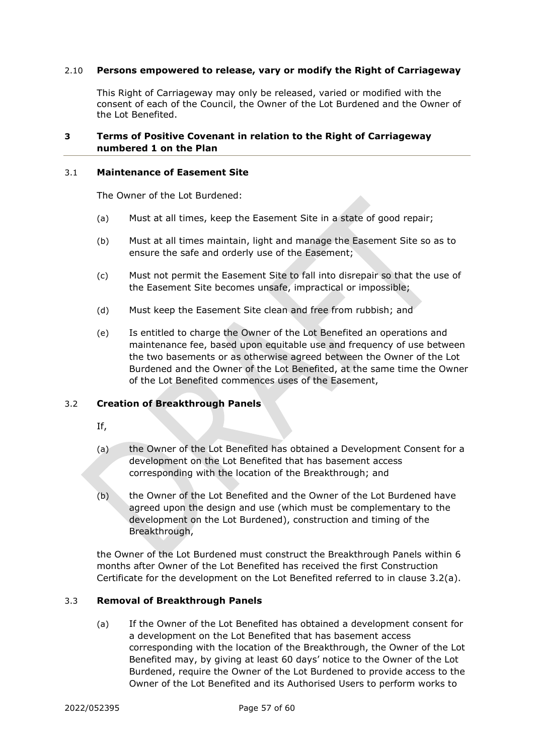#### 2.10 **Persons empowered to release, vary or modify the Right of Carriageway**

This Right of Carriageway may only be released, varied or modified with the consent of each of the Council, the Owner of the Lot Burdened and the Owner of the Lot Benefited.

# **3 Terms of Positive Covenant in relation to the Right of Carriageway numbered 1 on the Plan**

#### <span id="page-59-1"></span>3.1 **Maintenance of Easement Site**

The Owner of the Lot Burdened:

- (a) Must at all times, keep the Easement Site in a state of good repair;
- (b) Must at all times maintain, light and manage the Easement Site so as to ensure the safe and orderly use of the Easement;
- (c) Must not permit the Easement Site to fall into disrepair so that the use of the Easement Site becomes unsafe, impractical or impossible;
- (d) Must keep the Easement Site clean and free from rubbish; and
- (e) Is entitled to charge the Owner of the Lot Benefited an operations and maintenance fee, based upon equitable use and frequency of use between the two basements or as otherwise agreed between the Owner of the Lot Burdened and the Owner of the Lot Benefited, at the same time the Owner of the Lot Benefited commences uses of the Easement,

#### <span id="page-59-0"></span>3.2 **Creation of Breakthrough Panels**

- If,
- (a) the Owner of the Lot Benefited has obtained a Development Consent for a development on the Lot Benefited that has basement access corresponding with the location of the Breakthrough; and
- (b) the Owner of the Lot Benefited and the Owner of the Lot Burdened have agreed upon the design and use (which must be complementary to the development on the Lot Burdened), construction and timing of the Breakthrough,

the Owner of the Lot Burdened must construct the Breakthrough Panels within 6 months after Owner of the Lot Benefited has received the first Construction Certificate for the development on the Lot Benefited referred to in clause 3.2(a).

#### <span id="page-59-2"></span>3.3 **Removal of Breakthrough Panels**

(a) If the Owner of the Lot Benefited has obtained a development consent for a development on the Lot Benefited that has basement access corresponding with the location of the Breakthrough, the Owner of the Lot Benefited may, by giving at least 60 days' notice to the Owner of the Lot Burdened, require the Owner of the Lot Burdened to provide access to the Owner of the Lot Benefited and its Authorised Users to perform works to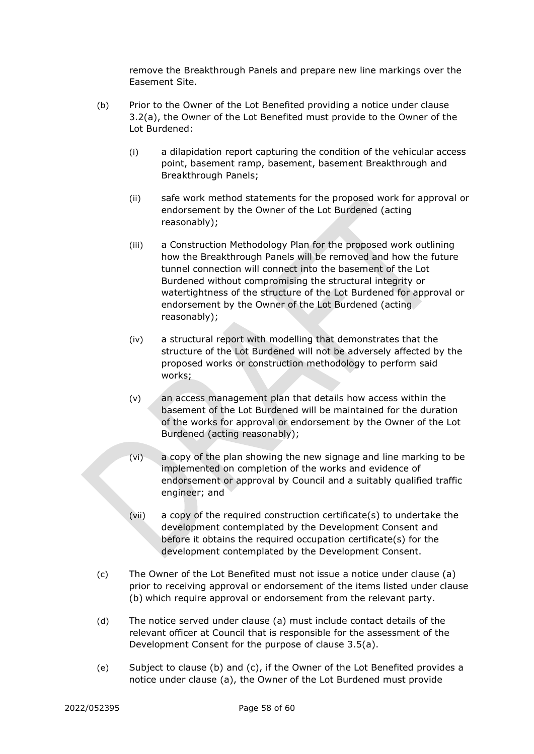remove the Breakthrough Panels and prepare new line markings over the Easement Site.

- <span id="page-60-0"></span>(b) Prior to the Owner of the Lot Benefited providing a notice under clause 3.2(a), the Owner of the Lot Benefited must provide to the Owner of the Lot Burdened:
	- (i) a dilapidation report capturing the condition of the vehicular access point, basement ramp, basement, basement Breakthrough and Breakthrough Panels;
	- (ii) safe work method statements for the proposed work for approval or endorsement by the Owner of the Lot Burdened (acting reasonably);
	- (iii) a Construction Methodology Plan for the proposed work outlining how the Breakthrough Panels will be removed and how the future tunnel connection will connect into the basement of the Lot Burdened without compromising the structural integrity or watertightness of the structure of the Lot Burdened for approval or endorsement by the Owner of the Lot Burdened (acting reasonably);
	- (iv) a structural report with modelling that demonstrates that the structure of the Lot Burdened will not be adversely affected by the proposed works or construction methodology to perform said works;
	- (v) an access management plan that details how access within the basement of the Lot Burdened will be maintained for the duration of the works for approval or endorsement by the Owner of the Lot Burdened (acting reasonably);
	- (vi) a copy of the plan showing the new signage and line marking to be implemented on completion of the works and evidence of endorsement or approval by Council and a suitably qualified traffic engineer; and
	- (vii) a copy of the required construction certificate(s) to undertake the development contemplated by the Development Consent and before it obtains the required occupation certificate(s) for the development contemplated by the Development Consent.
- <span id="page-60-1"></span>(c) The Owner of the Lot Benefited must not issue a notice under clause [\(a\)](#page-59-2) prior to receiving approval or endorsement of the items listed under clause [\(b\)](#page-60-0) which require approval or endorsement from the relevant party.
- (d) The notice served under clause [\(a\)](#page-59-2) must include contact details of the relevant officer at Council that is responsible for the assessment of the Development Consent for the purpose of clause [3.5\(a\).](#page-61-0)
- (e) Subject to clause [\(b\)](#page-60-0) and [\(c\),](#page-60-1) if the Owner of the Lot Benefited provides a notice under clause [\(a\),](#page-59-2) the Owner of the Lot Burdened must provide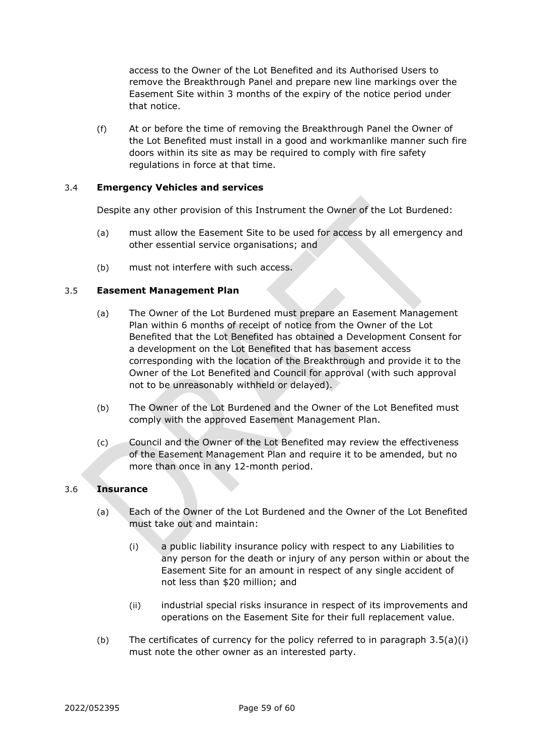access to the Owner of the Lot Benefited and its Authorised Users to remove the Breakthrough Panel and prepare new line markings over the Easement Site within 3 months of the expiry of the notice period under that notice.

(f) At or before the time of removing the Breakthrough Panel the Owner of the Lot Benefited must install in a good and workmanlike manner such fire doors within its site as may be required to comply with fire safety regulations in force at that time.

## 3.4 **Emergency Vehicles and services**

Despite any other provision of this Instrument the Owner of the Lot Burdened:

- (a) must allow the Easement Site to be used for access by all emergency and other essential service organisations; and
- (b) must not interfere with such access.

## <span id="page-61-0"></span>3.5 **Easement Management Plan**

- (a) The Owner of the Lot Burdened must prepare an Easement Management Plan within 6 months of receipt of notice from the Owner of the Lot Benefited that the Lot Benefited has obtained a Development Consent for a development on the Lot Benefited that has basement access corresponding with the location of the Breakthrough and provide it to the Owner of the Lot Benefited and Council for approval (with such approval not to be unreasonably withheld or delayed).
- (b) The Owner of the Lot Burdened and the Owner of the Lot Benefited must comply with the approved Easement Management Plan.
- (c) Council and the Owner of the Lot Benefited may review the effectiveness of the Easement Management Plan and require it to be amended, but no more than once in any 12-month period.

#### 3.6 **Insurance**

- (a) Each of the Owner of the Lot Burdened and the Owner of the Lot Benefited must take out and maintain:
	- (i) a public liability insurance policy with respect to any Liabilities to any person for the death or injury of any person within or about the Easement Site for an amount in respect of any single accident of not less than \$20 million; and
	- (ii) industrial special risks insurance in respect of its improvements and operations on the Easement Site for their full replacement value.
- (b) The certificates of currency for the policy referred to in paragraph  $3.5(a)(i)$ must note the other owner as an interested party.